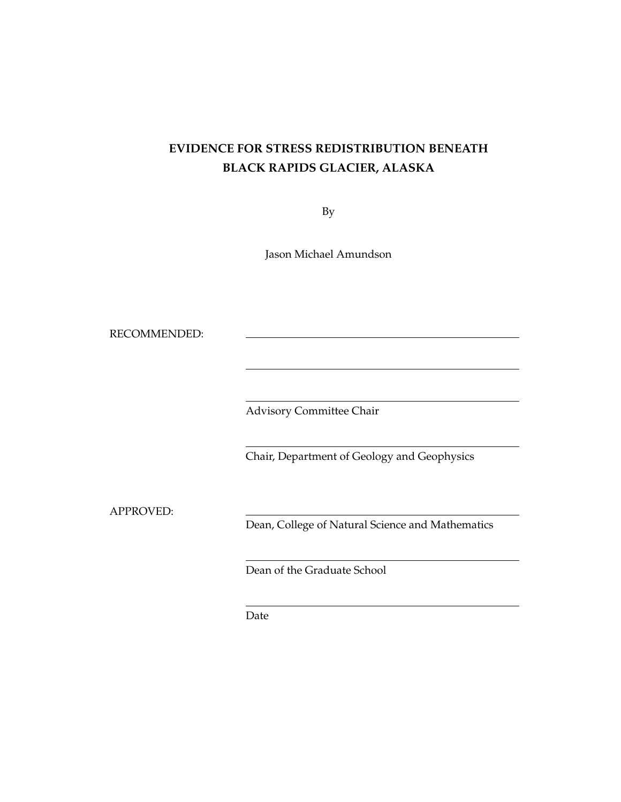# **EVIDENCE FOR STRESS REDISTRIBUTION BENEATH BLACK RAPIDS GLACIER, ALASKA**

By

Jason Michael Amundson

RECOMMENDED:

Advisory Committee Chair

Chair, Department of Geology and Geophysics

APPROVED:

Dean, College of Natural Science and Mathematics

Dean of the Graduate School

Date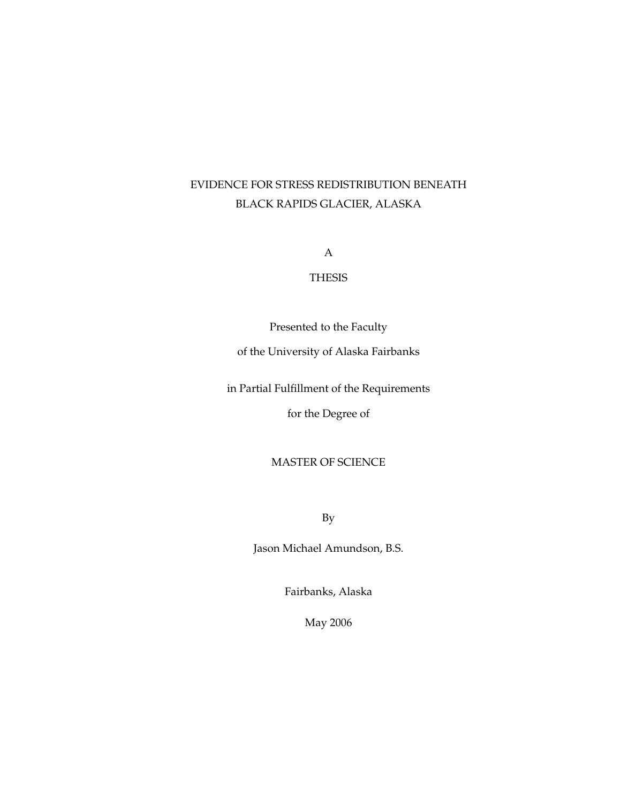# EVIDENCE FOR STRESS REDISTRIBUTION BENEATH BLACK RAPIDS GLACIER, ALASKA

A

## THESIS

Presented to the Faculty

of the University of Alaska Fairbanks

in Partial Fulfillment of the Requirements

for the Degree of

## MASTER OF SCIENCE

By

Jason Michael Amundson, B.S.

Fairbanks, Alaska

May 2006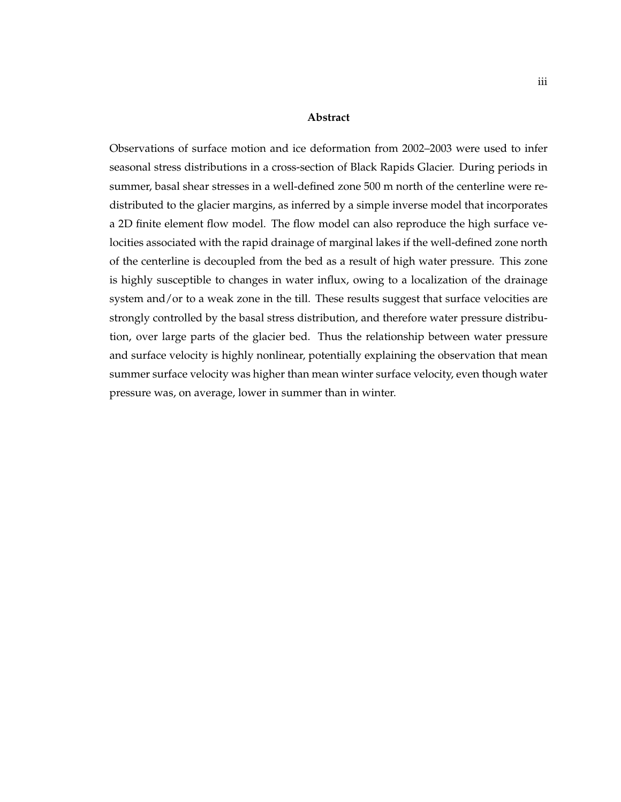#### **Abstract**

Observations of surface motion and ice deformation from 2002–2003 were used to infer seasonal stress distributions in a cross-section of Black Rapids Glacier. During periods in summer, basal shear stresses in a well-defined zone 500 m north of the centerline were redistributed to the glacier margins, as inferred by a simple inverse model that incorporates a 2D finite element flow model. The flow model can also reproduce the high surface velocities associated with the rapid drainage of marginal lakes if the well-defined zone north of the centerline is decoupled from the bed as a result of high water pressure. This zone is highly susceptible to changes in water influx, owing to a localization of the drainage system and/or to a weak zone in the till. These results suggest that surface velocities are strongly controlled by the basal stress distribution, and therefore water pressure distribution, over large parts of the glacier bed. Thus the relationship between water pressure and surface velocity is highly nonlinear, potentially explaining the observation that mean summer surface velocity was higher than mean winter surface velocity, even though water pressure was, on average, lower in summer than in winter.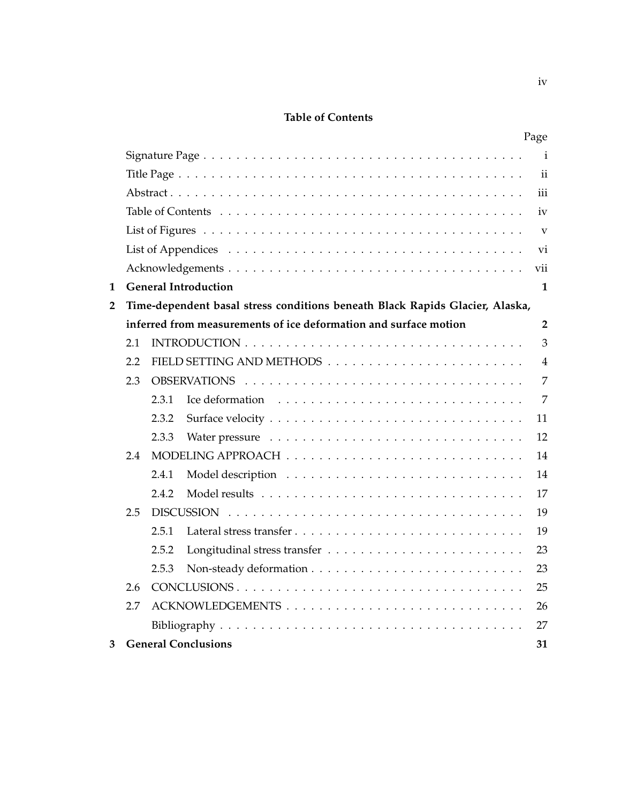# **Table of Contents**

|                                                                                   | Page                    |
|-----------------------------------------------------------------------------------|-------------------------|
|                                                                                   | $\mathbf{i}$            |
|                                                                                   | $\mathbf{ii}$           |
|                                                                                   | iii                     |
|                                                                                   | iv                      |
|                                                                                   | $\overline{\mathbf{V}}$ |
|                                                                                   | vi                      |
|                                                                                   | vii                     |
| <b>General Introduction</b><br>1                                                  | 1                       |
| Time-dependent basal stress conditions beneath Black Rapids Glacier, Alaska,<br>2 |                         |
| inferred from measurements of ice deformation and surface motion                  | $\overline{2}$          |
| 2.1                                                                               | 3                       |
| 2.2                                                                               | $\overline{4}$          |
| 2.3                                                                               | $\overline{7}$          |
| 2.3.1                                                                             | 7                       |
| 2.3.2                                                                             | 11                      |
| 2.3.3                                                                             | 12                      |
| 2.4                                                                               | 14                      |
| 2.4.1                                                                             | 14                      |
| 2.4.2                                                                             | 17                      |
| 2.5                                                                               | 19                      |
| 2.5.1<br>Lateral stress transfer                                                  | 19                      |
| 2.5.2                                                                             | 23                      |
| 2.5.3                                                                             | 23                      |
| 2.6                                                                               | 25                      |
| 2.7                                                                               | 26                      |
|                                                                                   | 27                      |
| <b>General Conclusions</b><br>3                                                   | 31                      |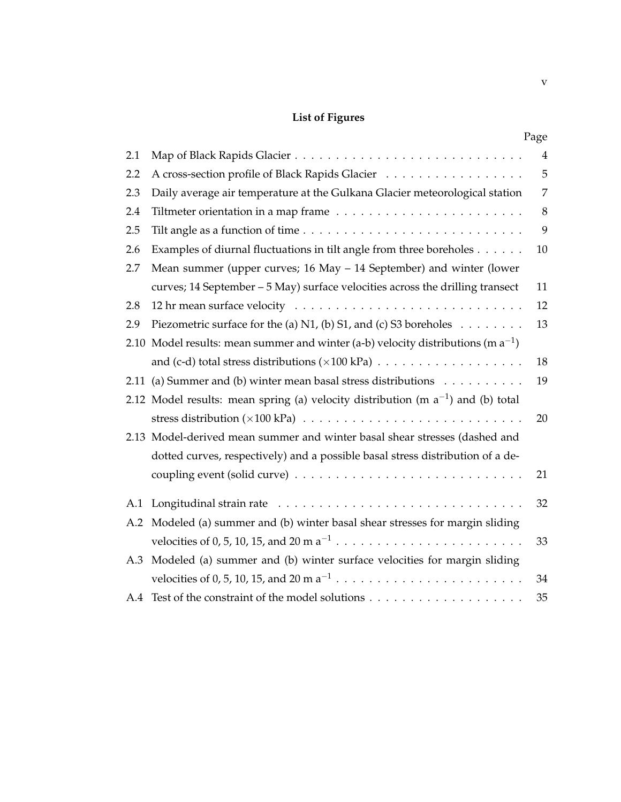# **List of Figures**

|      |                                                                                       | Page           |
|------|---------------------------------------------------------------------------------------|----------------|
| 2.1  |                                                                                       | $\overline{4}$ |
| 2.2  | A cross-section profile of Black Rapids Glacier                                       | 5              |
| 2.3  | Daily average air temperature at the Gulkana Glacier meteorological station           | 7              |
| 2.4  |                                                                                       | 8              |
| 2.5  |                                                                                       | 9              |
| 2.6  | Examples of diurnal fluctuations in tilt angle from three boreholes                   | 10             |
| 2.7  | Mean summer (upper curves; 16 May – 14 September) and winter (lower                   |                |
|      | curves; 14 September - 5 May) surface velocities across the drilling transect         | 11             |
| 2.8  |                                                                                       | 12             |
| 2.9  | Piezometric surface for the (a) N1, (b) S1, and (c) S3 boreholes $\ldots \ldots$      | 13             |
| 2.10 | Model results: mean summer and winter (a-b) velocity distributions (m $a^{-1}$ )      |                |
|      |                                                                                       | 18             |
|      | 2.11 (a) Summer and (b) winter mean basal stress distributions                        | 19             |
|      | 2.12 Model results: mean spring (a) velocity distribution (m $a^{-1}$ ) and (b) total |                |
|      |                                                                                       | 20             |
|      | 2.13 Model-derived mean summer and winter basal shear stresses (dashed and            |                |
|      | dotted curves, respectively) and a possible basal stress distribution of a de-        |                |
|      |                                                                                       | 21             |
| A.1  |                                                                                       | 32             |
| A.2  | Modeled (a) summer and (b) winter basal shear stresses for margin sliding             |                |
|      |                                                                                       | 33             |
| A.3  | Modeled (a) summer and (b) winter surface velocities for margin sliding               |                |
|      |                                                                                       | 34             |
| A.4  |                                                                                       | 35             |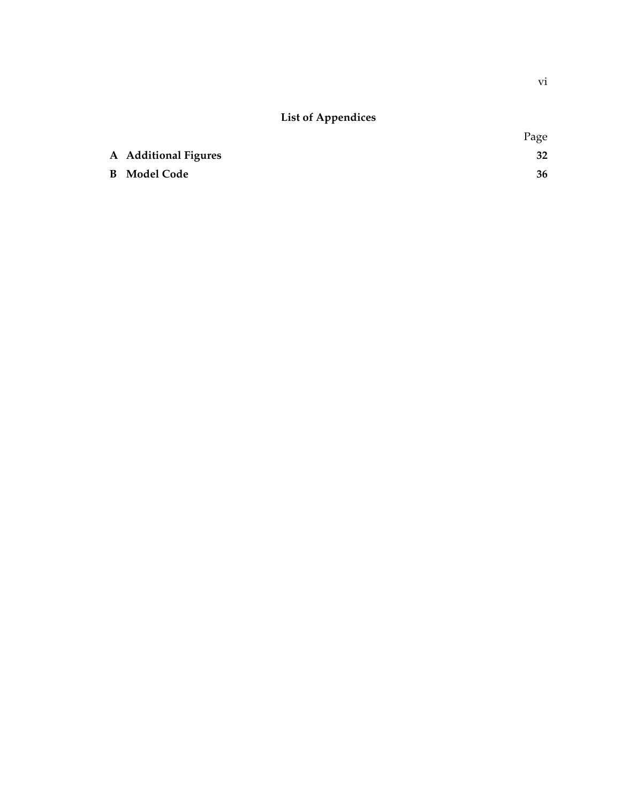# **List of Appendices**

|                      | Page |
|----------------------|------|
| A Additional Figures | 32   |
| <b>B</b> Model Code  | 36   |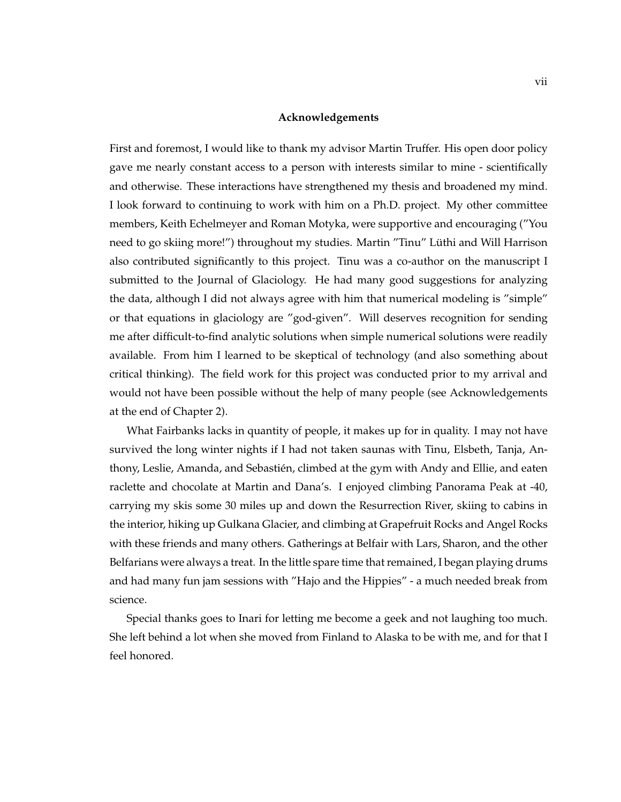#### **Acknowledgements**

First and foremost, I would like to thank my advisor Martin Truffer. His open door policy gave me nearly constant access to a person with interests similar to mine - scientifically and otherwise. These interactions have strengthened my thesis and broadened my mind. I look forward to continuing to work with him on a Ph.D. project. My other committee members, Keith Echelmeyer and Roman Motyka, were supportive and encouraging ("You need to go skiing more!") throughout my studies. Martin "Tinu" Lüthi and Will Harrison also contributed significantly to this project. Tinu was a co-author on the manuscript I submitted to the Journal of Glaciology. He had many good suggestions for analyzing the data, although I did not always agree with him that numerical modeling is "simple" or that equations in glaciology are "god-given". Will deserves recognition for sending me after difficult-to-find analytic solutions when simple numerical solutions were readily available. From him I learned to be skeptical of technology (and also something about critical thinking). The field work for this project was conducted prior to my arrival and would not have been possible without the help of many people (see Acknowledgements at the end of Chapter 2).

What Fairbanks lacks in quantity of people, it makes up for in quality. I may not have survived the long winter nights if I had not taken saunas with Tinu, Elsbeth, Tanja, Anthony, Leslie, Amanda, and Sebastien, climbed at the gym with Andy and Ellie, and eaten ´ raclette and chocolate at Martin and Dana's. I enjoyed climbing Panorama Peak at -40, carrying my skis some 30 miles up and down the Resurrection River, skiing to cabins in the interior, hiking up Gulkana Glacier, and climbing at Grapefruit Rocks and Angel Rocks with these friends and many others. Gatherings at Belfair with Lars, Sharon, and the other Belfarians were always a treat. In the little spare time that remained, I began playing drums and had many fun jam sessions with "Hajo and the Hippies" - a much needed break from science.

Special thanks goes to Inari for letting me become a geek and not laughing too much. She left behind a lot when she moved from Finland to Alaska to be with me, and for that I feel honored.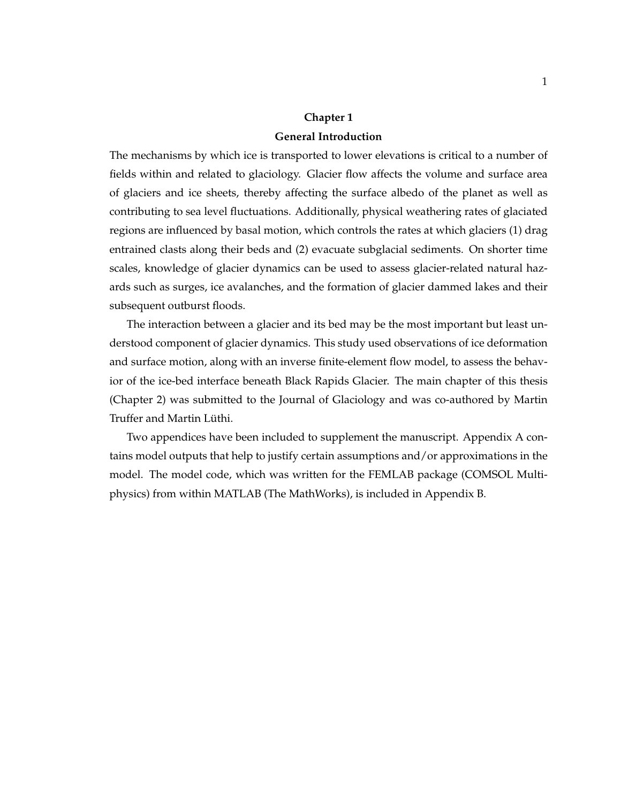# **Chapter 1**

## **General Introduction**

The mechanisms by which ice is transported to lower elevations is critical to a number of fields within and related to glaciology. Glacier flow affects the volume and surface area of glaciers and ice sheets, thereby affecting the surface albedo of the planet as well as contributing to sea level fluctuations. Additionally, physical weathering rates of glaciated regions are influenced by basal motion, which controls the rates at which glaciers (1) drag entrained clasts along their beds and (2) evacuate subglacial sediments. On shorter time scales, knowledge of glacier dynamics can be used to assess glacier-related natural hazards such as surges, ice avalanches, and the formation of glacier dammed lakes and their subsequent outburst floods.

The interaction between a glacier and its bed may be the most important but least understood component of glacier dynamics. This study used observations of ice deformation and surface motion, along with an inverse finite-element flow model, to assess the behavior of the ice-bed interface beneath Black Rapids Glacier. The main chapter of this thesis (Chapter 2) was submitted to the Journal of Glaciology and was co-authored by Martin Truffer and Martin Lüthi.

Two appendices have been included to supplement the manuscript. Appendix A contains model outputs that help to justify certain assumptions and/or approximations in the model. The model code, which was written for the FEMLAB package (COMSOL Multiphysics) from within MATLAB (The MathWorks), is included in Appendix B.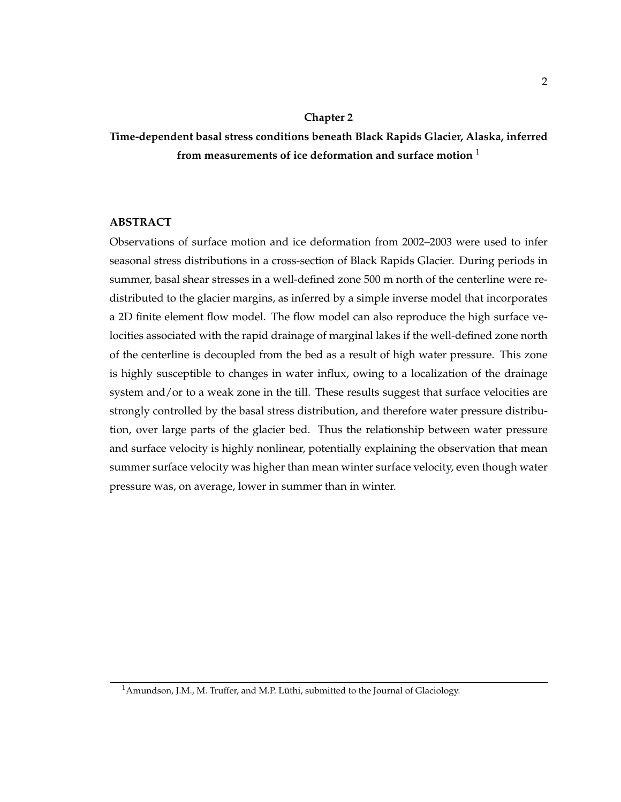#### **Chapter 2**

**Time-dependent basal stress conditions beneath Black Rapids Glacier, Alaska, inferred from measurements of ice deformation and surface motion** <sup>1</sup>

## **ABSTRACT**

Observations of surface motion and ice deformation from 2002–2003 were used to infer seasonal stress distributions in a cross-section of Black Rapids Glacier. During periods in summer, basal shear stresses in a well-defined zone 500 m north of the centerline were redistributed to the glacier margins, as inferred by a simple inverse model that incorporates a 2D finite element flow model. The flow model can also reproduce the high surface velocities associated with the rapid drainage of marginal lakes if the well-defined zone north of the centerline is decoupled from the bed as a result of high water pressure. This zone is highly susceptible to changes in water influx, owing to a localization of the drainage system and/or to a weak zone in the till. These results suggest that surface velocities are strongly controlled by the basal stress distribution, and therefore water pressure distribution, over large parts of the glacier bed. Thus the relationship between water pressure and surface velocity is highly nonlinear, potentially explaining the observation that mean summer surface velocity was higher than mean winter surface velocity, even though water pressure was, on average, lower in summer than in winter.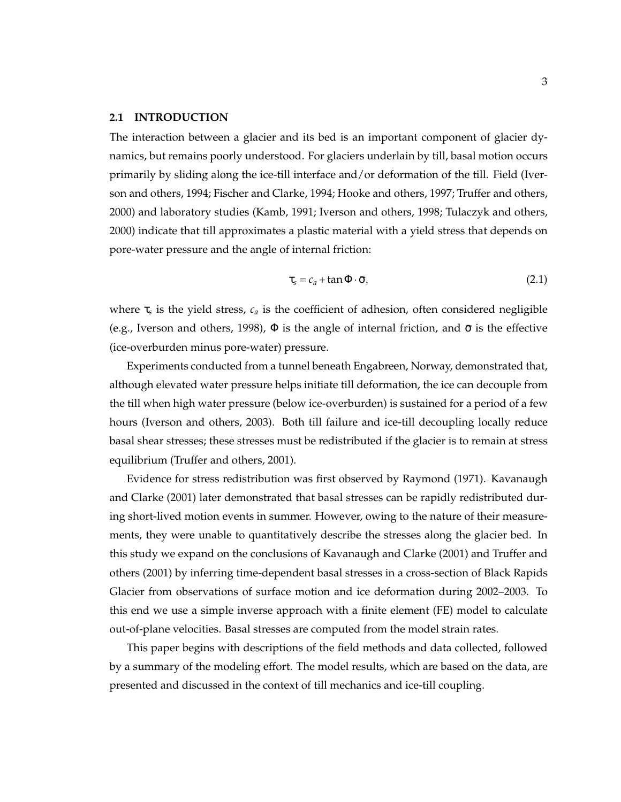#### **2.1 INTRODUCTION**

The interaction between a glacier and its bed is an important component of glacier dynamics, but remains poorly understood. For glaciers underlain by till, basal motion occurs primarily by sliding along the ice-till interface and/or deformation of the till. Field (Iverson and others, 1994; Fischer and Clarke, 1994; Hooke and others, 1997; Truffer and others, 2000) and laboratory studies (Kamb, 1991; Iverson and others, 1998; Tulaczyk and others, 2000) indicate that till approximates a plastic material with a yield stress that depends on pore-water pressure and the angle of internal friction:

$$
\tau_s = c_a + \tan \Phi \cdot \bar{\sigma}, \qquad (2.1)
$$

where τ*<sup>s</sup>* is the yield stress, *c<sup>a</sup>* is the coefficient of adhesion, often considered negligible (e.g., Iverson and others, 1998),  $\Phi$  is the angle of internal friction, and  $\bar{\sigma}$  is the effective (ice-overburden minus pore-water) pressure.

Experiments conducted from a tunnel beneath Engabreen, Norway, demonstrated that, although elevated water pressure helps initiate till deformation, the ice can decouple from the till when high water pressure (below ice-overburden) is sustained for a period of a few hours (Iverson and others, 2003). Both till failure and ice-till decoupling locally reduce basal shear stresses; these stresses must be redistributed if the glacier is to remain at stress equilibrium (Truffer and others, 2001).

Evidence for stress redistribution was first observed by Raymond (1971). Kavanaugh and Clarke (2001) later demonstrated that basal stresses can be rapidly redistributed during short-lived motion events in summer. However, owing to the nature of their measurements, they were unable to quantitatively describe the stresses along the glacier bed. In this study we expand on the conclusions of Kavanaugh and Clarke (2001) and Truffer and others (2001) by inferring time-dependent basal stresses in a cross-section of Black Rapids Glacier from observations of surface motion and ice deformation during 2002–2003. To this end we use a simple inverse approach with a finite element (FE) model to calculate out-of-plane velocities. Basal stresses are computed from the model strain rates.

This paper begins with descriptions of the field methods and data collected, followed by a summary of the modeling effort. The model results, which are based on the data, are presented and discussed in the context of till mechanics and ice-till coupling.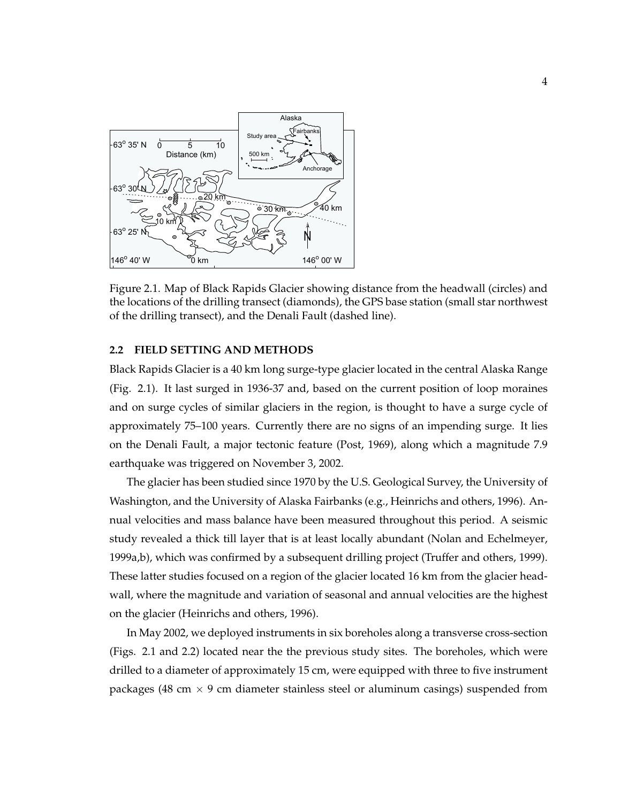

Figure 2.1. Map of Black Rapids Glacier showing distance from the headwall (circles) and the locations of the drilling transect (diamonds), the GPS base station (small star northwest of the drilling transect), and the Denali Fault (dashed line).

#### **2.2 FIELD SETTING AND METHODS**

Black Rapids Glacier is a 40 km long surge-type glacier located in the central Alaska Range (Fig. 2.1). It last surged in 1936-37 and, based on the current position of loop moraines and on surge cycles of similar glaciers in the region, is thought to have a surge cycle of approximately 75–100 years. Currently there are no signs of an impending surge. It lies on the Denali Fault, a major tectonic feature (Post, 1969), along which a magnitude 7.9 earthquake was triggered on November 3, 2002.

The glacier has been studied since 1970 by the U.S. Geological Survey, the University of Washington, and the University of Alaska Fairbanks (e.g., Heinrichs and others, 1996). Annual velocities and mass balance have been measured throughout this period. A seismic study revealed a thick till layer that is at least locally abundant (Nolan and Echelmeyer, 1999a,b), which was confirmed by a subsequent drilling project (Truffer and others, 1999). These latter studies focused on a region of the glacier located 16 km from the glacier headwall, where the magnitude and variation of seasonal and annual velocities are the highest on the glacier (Heinrichs and others, 1996).

In May 2002, we deployed instruments in six boreholes along a transverse cross-section (Figs. 2.1 and 2.2) located near the the previous study sites. The boreholes, which were drilled to a diameter of approximately 15 cm, were equipped with three to five instrument packages (48 cm  $\times$  9 cm diameter stainless steel or aluminum casings) suspended from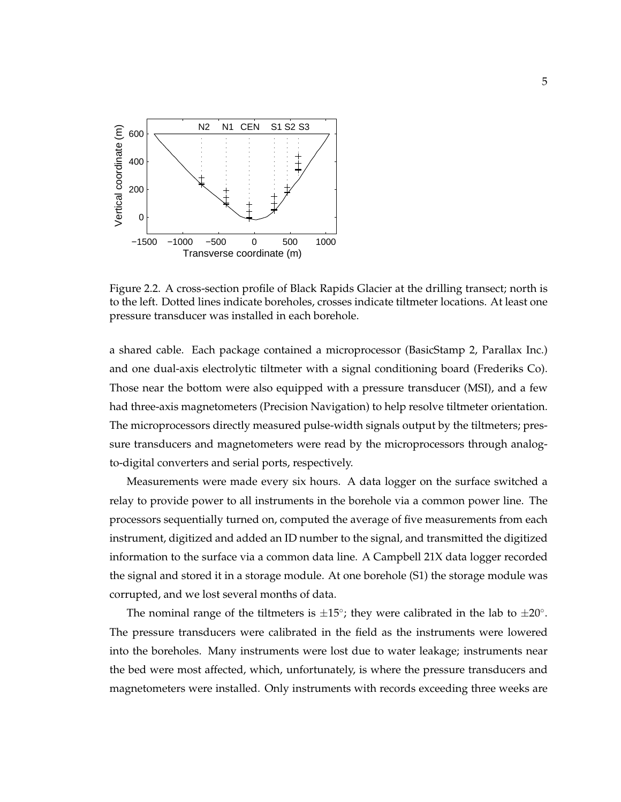

Figure 2.2. A cross-section profile of Black Rapids Glacier at the drilling transect; north is to the left. Dotted lines indicate boreholes, crosses indicate tiltmeter locations. At least one pressure transducer was installed in each borehole.

a shared cable. Each package contained a microprocessor (BasicStamp 2, Parallax Inc.) and one dual-axis electrolytic tiltmeter with a signal conditioning board (Frederiks Co). Those near the bottom were also equipped with a pressure transducer (MSI), and a few had three-axis magnetometers (Precision Navigation) to help resolve tiltmeter orientation. The microprocessors directly measured pulse-width signals output by the tiltmeters; pressure transducers and magnetometers were read by the microprocessors through analogto-digital converters and serial ports, respectively.

Measurements were made every six hours. A data logger on the surface switched a relay to provide power to all instruments in the borehole via a common power line. The processors sequentially turned on, computed the average of five measurements from each instrument, digitized and added an ID number to the signal, and transmitted the digitized information to the surface via a common data line. A Campbell 21X data logger recorded the signal and stored it in a storage module. At one borehole (S1) the storage module was corrupted, and we lost several months of data.

The nominal range of the tiltmeters is  $\pm 15^{\circ}$ ; they were calibrated in the lab to  $\pm 20^{\circ}$ . The pressure transducers were calibrated in the field as the instruments were lowered into the boreholes. Many instruments were lost due to water leakage; instruments near the bed were most affected, which, unfortunately, is where the pressure transducers and magnetometers were installed. Only instruments with records exceeding three weeks are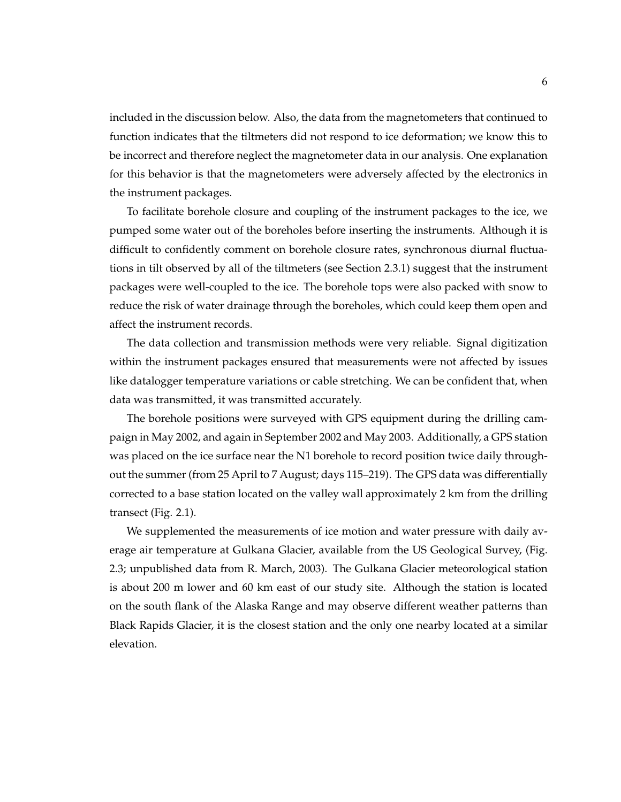included in the discussion below. Also, the data from the magnetometers that continued to function indicates that the tiltmeters did not respond to ice deformation; we know this to be incorrect and therefore neglect the magnetometer data in our analysis. One explanation for this behavior is that the magnetometers were adversely affected by the electronics in the instrument packages.

To facilitate borehole closure and coupling of the instrument packages to the ice, we pumped some water out of the boreholes before inserting the instruments. Although it is difficult to confidently comment on borehole closure rates, synchronous diurnal fluctuations in tilt observed by all of the tiltmeters (see Section 2.3.1) suggest that the instrument packages were well-coupled to the ice. The borehole tops were also packed with snow to reduce the risk of water drainage through the boreholes, which could keep them open and affect the instrument records.

The data collection and transmission methods were very reliable. Signal digitization within the instrument packages ensured that measurements were not affected by issues like datalogger temperature variations or cable stretching. We can be confident that, when data was transmitted, it was transmitted accurately.

The borehole positions were surveyed with GPS equipment during the drilling campaign in May 2002, and again in September 2002 and May 2003. Additionally, a GPS station was placed on the ice surface near the N1 borehole to record position twice daily throughout the summer (from 25 April to 7 August; days 115–219). The GPS data was differentially corrected to a base station located on the valley wall approximately 2 km from the drilling transect (Fig. 2.1).

We supplemented the measurements of ice motion and water pressure with daily average air temperature at Gulkana Glacier, available from the US Geological Survey, (Fig. 2.3; unpublished data from R. March, 2003). The Gulkana Glacier meteorological station is about 200 m lower and 60 km east of our study site. Although the station is located on the south flank of the Alaska Range and may observe different weather patterns than Black Rapids Glacier, it is the closest station and the only one nearby located at a similar elevation.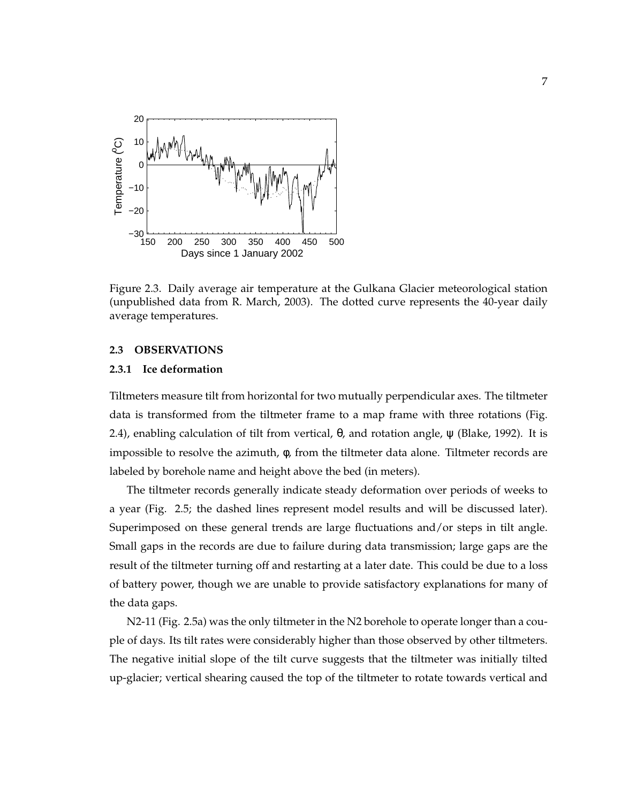

Figure 2.3. Daily average air temperature at the Gulkana Glacier meteorological station (unpublished data from R. March, 2003). The dotted curve represents the 40-year daily average temperatures.

#### **2.3 OBSERVATIONS**

#### **2.3.1 Ice deformation**

Tiltmeters measure tilt from horizontal for two mutually perpendicular axes. The tiltmeter data is transformed from the tiltmeter frame to a map frame with three rotations (Fig. 2.4), enabling calculation of tilt from vertical,  $θ$ , and rotation angle,  $ψ$  (Blake, 1992). It is impossible to resolve the azimuth, φ, from the tiltmeter data alone. Tiltmeter records are labeled by borehole name and height above the bed (in meters).

The tiltmeter records generally indicate steady deformation over periods of weeks to a year (Fig. 2.5; the dashed lines represent model results and will be discussed later). Superimposed on these general trends are large fluctuations and/or steps in tilt angle. Small gaps in the records are due to failure during data transmission; large gaps are the result of the tiltmeter turning off and restarting at a later date. This could be due to a loss of battery power, though we are unable to provide satisfactory explanations for many of the data gaps.

N2-11 (Fig. 2.5a) was the only tiltmeter in the N2 borehole to operate longer than a couple of days. Its tilt rates were considerably higher than those observed by other tiltmeters. The negative initial slope of the tilt curve suggests that the tiltmeter was initially tilted up-glacier; vertical shearing caused the top of the tiltmeter to rotate towards vertical and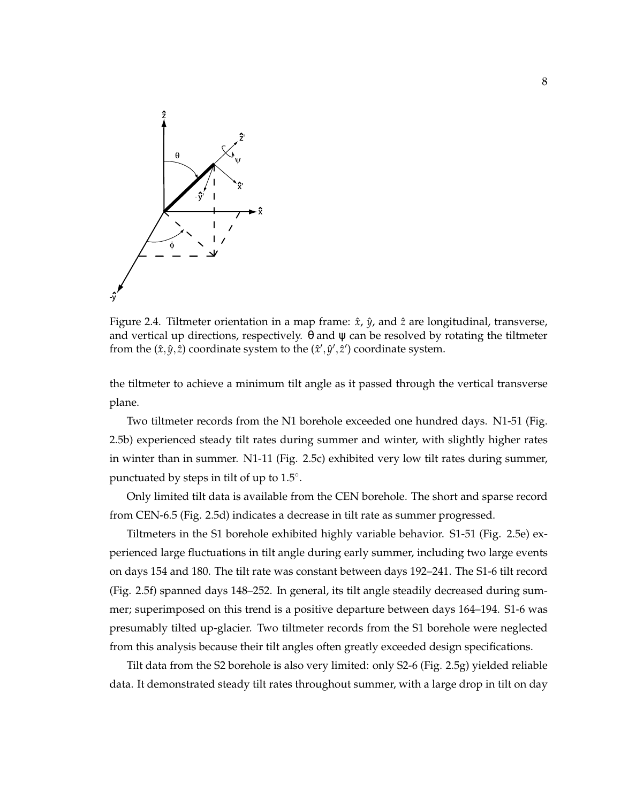

Figure 2.4. Tiltmeter orientation in a map frame:  $\hat{x}$ ,  $\hat{y}$ , and  $\hat{z}$  are longitudinal, transverse, and vertical up directions, respectively.  $\theta$  and  $\psi$  can be resolved by rotating the tiltmeter from the  $(\hat{x}, \hat{y}, \hat{z})$  coordinate system to the  $(\hat{x}', \hat{y}', \hat{z}')$  coordinate system.

the tiltmeter to achieve a minimum tilt angle as it passed through the vertical transverse plane.

Two tiltmeter records from the N1 borehole exceeded one hundred days. N1-51 (Fig. 2.5b) experienced steady tilt rates during summer and winter, with slightly higher rates in winter than in summer. N1-11 (Fig. 2.5c) exhibited very low tilt rates during summer, punctuated by steps in tilt of up to 1.5°.

Only limited tilt data is available from the CEN borehole. The short and sparse record from CEN-6.5 (Fig. 2.5d) indicates a decrease in tilt rate as summer progressed.

Tiltmeters in the S1 borehole exhibited highly variable behavior. S1-51 (Fig. 2.5e) experienced large fluctuations in tilt angle during early summer, including two large events on days 154 and 180. The tilt rate was constant between days 192–241. The S1-6 tilt record (Fig. 2.5f) spanned days 148–252. In general, its tilt angle steadily decreased during summer; superimposed on this trend is a positive departure between days 164–194. S1-6 was presumably tilted up-glacier. Two tiltmeter records from the S1 borehole were neglected from this analysis because their tilt angles often greatly exceeded design specifications.

Tilt data from the S2 borehole is also very limited: only S2-6 (Fig. 2.5g) yielded reliable data. It demonstrated steady tilt rates throughout summer, with a large drop in tilt on day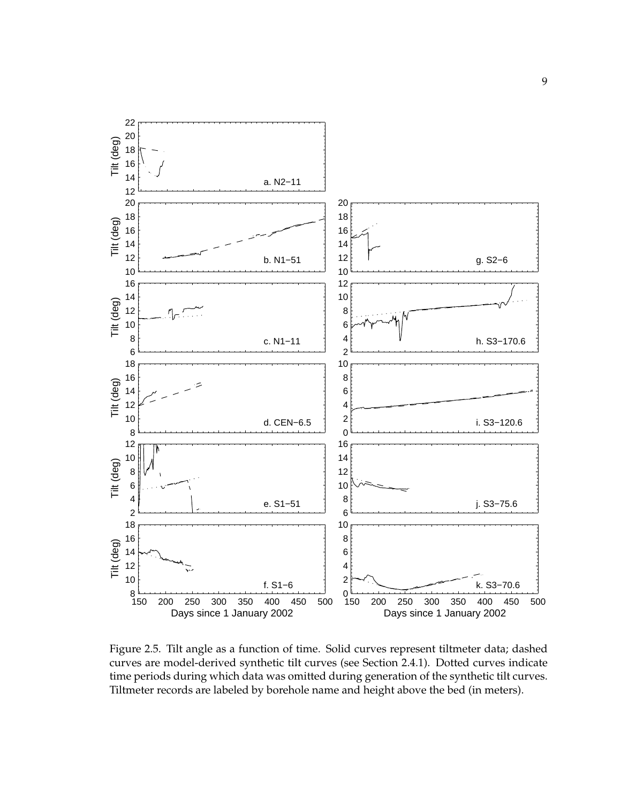

Figure 2.5. Tilt angle as a function of time. Solid curves represent tiltmeter data; dashed curves are model-derived synthetic tilt curves (see Section 2.4.1). Dotted curves indicate time periods during which data was omitted during generation of the synthetic tilt curves. Tiltmeter records are labeled by borehole name and height above the bed (in meters).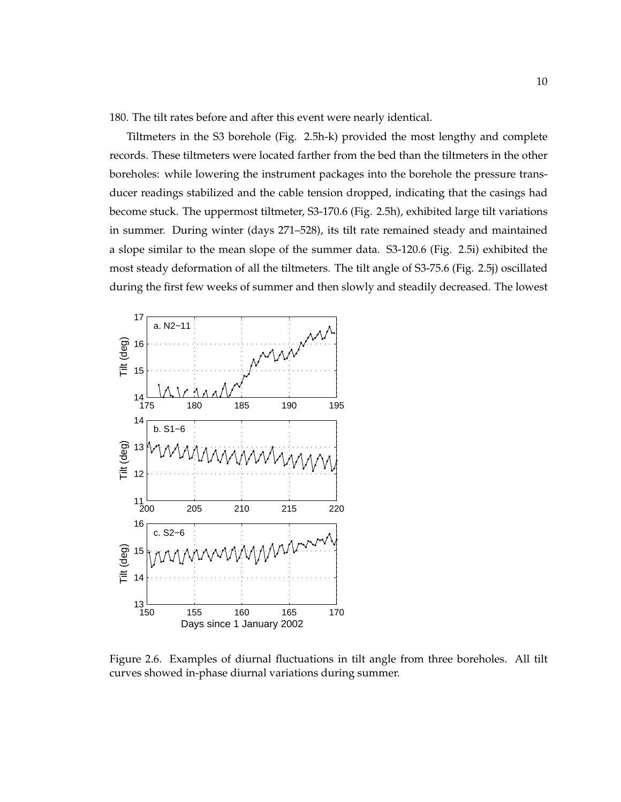180. The tilt rates before and after this event were nearly identical.

Tiltmeters in the S3 borehole (Fig. 2.5h-k) provided the most lengthy and complete records. These tiltmeters were located farther from the bed than the tiltmeters in the other boreholes: while lowering the instrument packages into the borehole the pressure transducer readings stabilized and the cable tension dropped, indicating that the casings had become stuck. The uppermost tiltmeter, S3-170.6 (Fig. 2.5h), exhibited large tilt variations in summer. During winter (days 271–528), its tilt rate remained steady and maintained a slope similar to the mean slope of the summer data. S3-120.6 (Fig. 2.5i) exhibited the most steady deformation of all the tiltmeters. The tilt angle of S3-75.6 (Fig. 2.5j) oscillated during the first few weeks of summer and then slowly and steadily decreased. The lowest



Figure 2.6. Examples of diurnal fluctuations in tilt angle from three boreholes. All tilt curves showed in-phase diurnal variations during summer.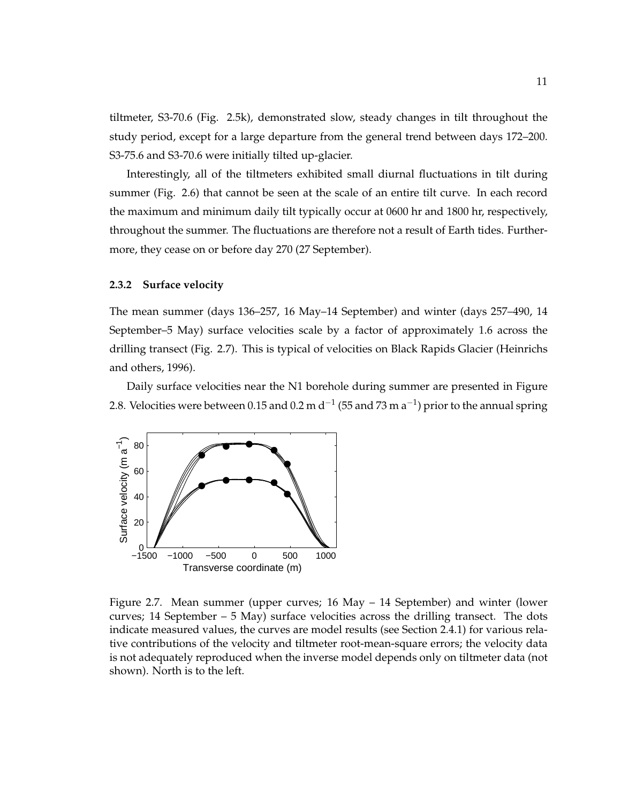tiltmeter, S3-70.6 (Fig. 2.5k), demonstrated slow, steady changes in tilt throughout the study period, except for a large departure from the general trend between days 172–200. S3-75.6 and S3-70.6 were initially tilted up-glacier.

Interestingly, all of the tiltmeters exhibited small diurnal fluctuations in tilt during summer (Fig. 2.6) that cannot be seen at the scale of an entire tilt curve. In each record the maximum and minimum daily tilt typically occur at 0600 hr and 1800 hr, respectively, throughout the summer. The fluctuations are therefore not a result of Earth tides. Furthermore, they cease on or before day 270 (27 September).

#### **2.3.2 Surface velocity**

The mean summer (days 136–257, 16 May–14 September) and winter (days 257–490, 14 September–5 May) surface velocities scale by a factor of approximately 1.6 across the drilling transect (Fig. 2.7). This is typical of velocities on Black Rapids Glacier (Heinrichs and others, 1996).

Daily surface velocities near the N1 borehole during summer are presented in Figure 2.8. Velocities were between 0.15 and 0.2 m d<sup>-1</sup> (55 and 73 m a<sup>-1</sup>) prior to the annual spring



Figure 2.7. Mean summer (upper curves; 16 May – 14 September) and winter (lower curves; 14 September  $-5$  May) surface velocities across the drilling transect. The dots indicate measured values, the curves are model results (see Section 2.4.1) for various relative contributions of the velocity and tiltmeter root-mean-square errors; the velocity data is not adequately reproduced when the inverse model depends only on tiltmeter data (not shown). North is to the left.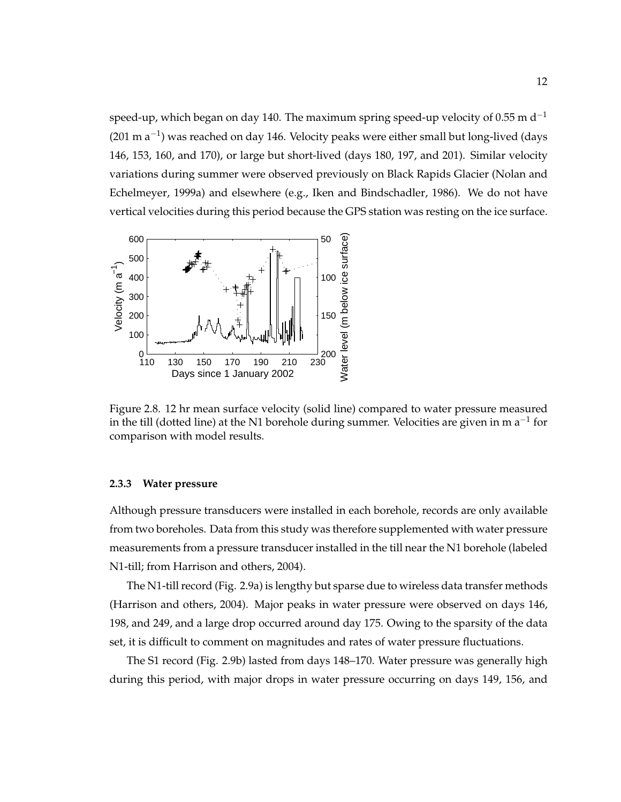speed-up, which began on day 140. The maximum spring speed-up velocity of 0.55 m  $d^{-1}$  $(201 \text{ m a}^{-1})$  was reached on day 146. Velocity peaks were either small but long-lived (days 146, 153, 160, and 170), or large but short-lived (days 180, 197, and 201). Similar velocity variations during summer were observed previously on Black Rapids Glacier (Nolan and Echelmeyer, 1999a) and elsewhere (e.g., Iken and Bindschadler, 1986). We do not have vertical velocities during this period because the GPS station was resting on the ice surface.



Figure 2.8. 12 hr mean surface velocity (solid line) compared to water pressure measured in the till (dotted line) at the N1 borehole during summer. Velocities are given in m a<sup>-1</sup> for comparison with model results.

#### **2.3.3 Water pressure**

Although pressure transducers were installed in each borehole, records are only available from two boreholes. Data from this study was therefore supplemented with water pressure measurements from a pressure transducer installed in the till near the N1 borehole (labeled N1-till; from Harrison and others, 2004).

The N1-till record (Fig. 2.9a) is lengthy but sparse due to wireless data transfer methods (Harrison and others, 2004). Major peaks in water pressure were observed on days 146, 198, and 249, and a large drop occurred around day 175. Owing to the sparsity of the data set, it is difficult to comment on magnitudes and rates of water pressure fluctuations.

The S1 record (Fig. 2.9b) lasted from days 148–170. Water pressure was generally high during this period, with major drops in water pressure occurring on days 149, 156, and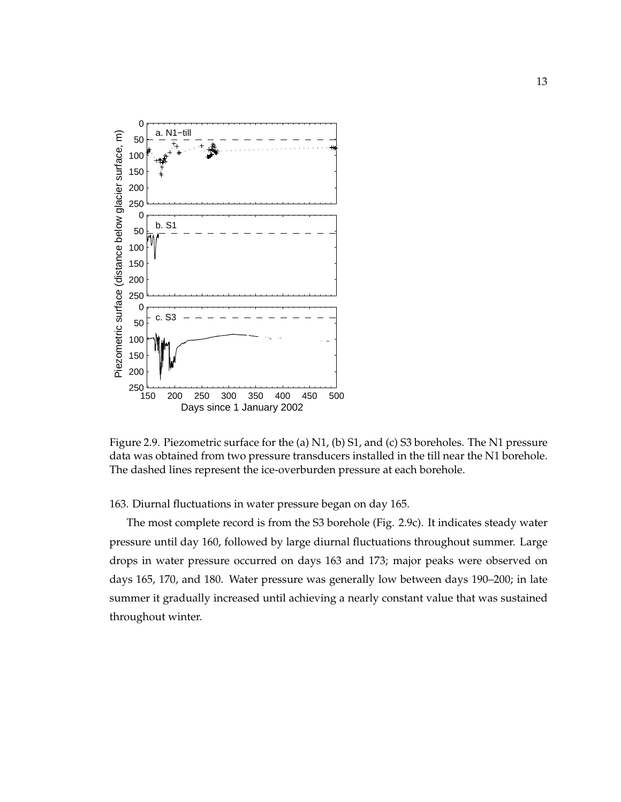

Figure 2.9. Piezometric surface for the (a) N1, (b) S1, and (c) S3 boreholes. The N1 pressure data was obtained from two pressure transducers installed in the till near the N1 borehole. The dashed lines represent the ice-overburden pressure at each borehole.

163. Diurnal fluctuations in water pressure began on day 165.

The most complete record is from the S3 borehole (Fig. 2.9c). It indicates steady water pressure until day 160, followed by large diurnal fluctuations throughout summer. Large drops in water pressure occurred on days 163 and 173; major peaks were observed on days 165, 170, and 180. Water pressure was generally low between days 190–200; in late summer it gradually increased until achieving a nearly constant value that was sustained throughout winter.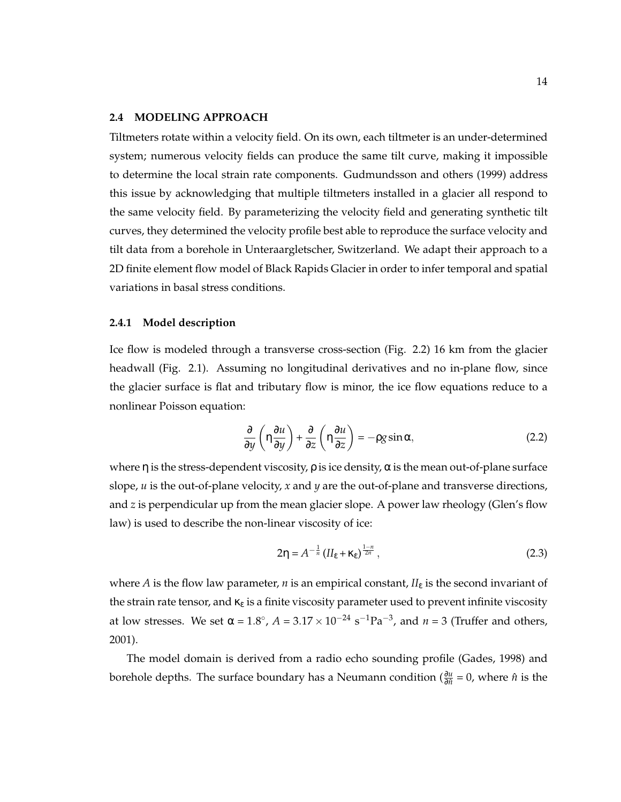#### **2.4 MODELING APPROACH**

Tiltmeters rotate within a velocity field. On its own, each tiltmeter is an under-determined system; numerous velocity fields can produce the same tilt curve, making it impossible to determine the local strain rate components. Gudmundsson and others (1999) address this issue by acknowledging that multiple tiltmeters installed in a glacier all respond to the same velocity field. By parameterizing the velocity field and generating synthetic tilt curves, they determined the velocity profile best able to reproduce the surface velocity and tilt data from a borehole in Unteraargletscher, Switzerland. We adapt their approach to a 2D finite element flow model of Black Rapids Glacier in order to infer temporal and spatial variations in basal stress conditions.

#### **2.4.1 Model description**

Ice flow is modeled through a transverse cross-section (Fig. 2.2) 16 km from the glacier headwall (Fig. 2.1). Assuming no longitudinal derivatives and no in-plane flow, since the glacier surface is flat and tributary flow is minor, the ice flow equations reduce to a nonlinear Poisson equation:

$$
\frac{\partial}{\partial y}\left(\eta \frac{\partial u}{\partial y}\right) + \frac{\partial}{\partial z}\left(\eta \frac{\partial u}{\partial z}\right) = -\rho g \sin \alpha, \tag{2.2}
$$

where  $\eta$  is the stress-dependent viscosity,  $\rho$  is ice density,  $\alpha$  is the mean out-of-plane surface slope, *u* is the out-of-plane velocity, *x* and *y* are the out-of-plane and transverse directions, and *z* is perpendicular up from the mean glacier slope. A power law rheology (Glen's flow law) is used to describe the non-linear viscosity of ice:

$$
2\eta = A^{-\frac{1}{n}} \left( I l_{\dot{\varepsilon}} + \kappa_{\dot{\varepsilon}} \right)^{\frac{1-n}{2n}},\tag{2.3}
$$

where *A* is the flow law parameter, *n* is an empirical constant,  $II_{\varepsilon}$  is the second invariant of the strain rate tensor, and  $\kappa_{\varepsilon}$  is a finite viscosity parameter used to prevent infinite viscosity at low stresses. We set  $\alpha = 1.8^{\circ}$ ,  $A = 3.17 \times 10^{-24}$  s<sup>-1</sup>Pa<sup>-3</sup>, and  $n = 3$  (Truffer and others, 2001).

The model domain is derived from a radio echo sounding profile (Gades, 1998) and borehole depths. The surface boundary has a Neumann condition ( $\frac{\partial u}{\partial \hat{n}} = 0$ , where  $\hat{n}$  is the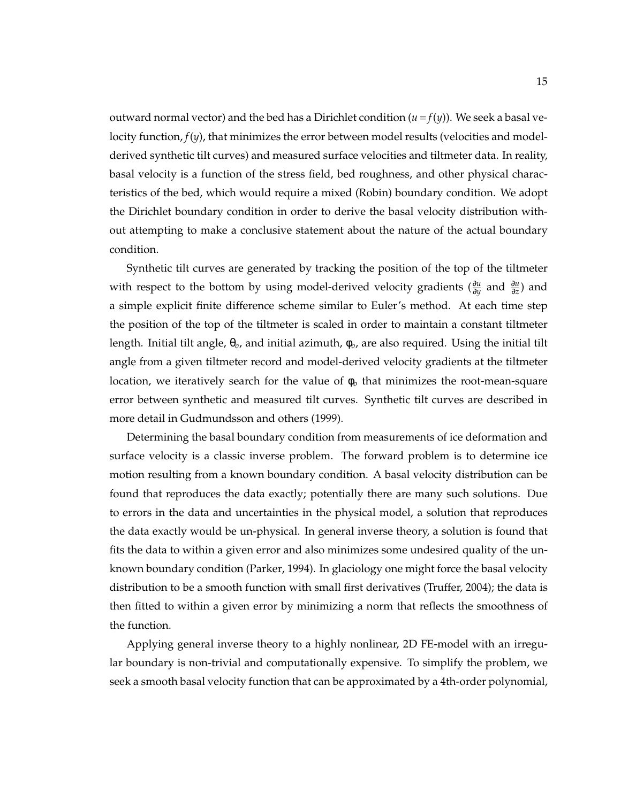outward normal vector) and the bed has a Dirichlet condition  $(u = f(y))$ . We seek a basal velocity function, *f*(*y*), that minimizes the error between model results (velocities and modelderived synthetic tilt curves) and measured surface velocities and tiltmeter data. In reality, basal velocity is a function of the stress field, bed roughness, and other physical characteristics of the bed, which would require a mixed (Robin) boundary condition. We adopt the Dirichlet boundary condition in order to derive the basal velocity distribution without attempting to make a conclusive statement about the nature of the actual boundary condition.

Synthetic tilt curves are generated by tracking the position of the top of the tiltmeter with respect to the bottom by using model-derived velocity gradients ( $\frac{\partial u}{\partial y}$  and  $\frac{\partial u}{\partial z}$ ) and a simple explicit finite difference scheme similar to Euler's method. At each time step the position of the top of the tiltmeter is scaled in order to maintain a constant tiltmeter length. Initial tilt angle, θ*o*, and initial azimuth, φ*o*, are also required. Using the initial tilt angle from a given tiltmeter record and model-derived velocity gradients at the tiltmeter location, we iteratively search for the value of φ*<sup>o</sup>* that minimizes the root-mean-square error between synthetic and measured tilt curves. Synthetic tilt curves are described in more detail in Gudmundsson and others (1999).

Determining the basal boundary condition from measurements of ice deformation and surface velocity is a classic inverse problem. The forward problem is to determine ice motion resulting from a known boundary condition. A basal velocity distribution can be found that reproduces the data exactly; potentially there are many such solutions. Due to errors in the data and uncertainties in the physical model, a solution that reproduces the data exactly would be un-physical. In general inverse theory, a solution is found that fits the data to within a given error and also minimizes some undesired quality of the unknown boundary condition (Parker, 1994). In glaciology one might force the basal velocity distribution to be a smooth function with small first derivatives (Truffer, 2004); the data is then fitted to within a given error by minimizing a norm that reflects the smoothness of the function.

Applying general inverse theory to a highly nonlinear, 2D FE-model with an irregular boundary is non-trivial and computationally expensive. To simplify the problem, we seek a smooth basal velocity function that can be approximated by a 4th-order polynomial,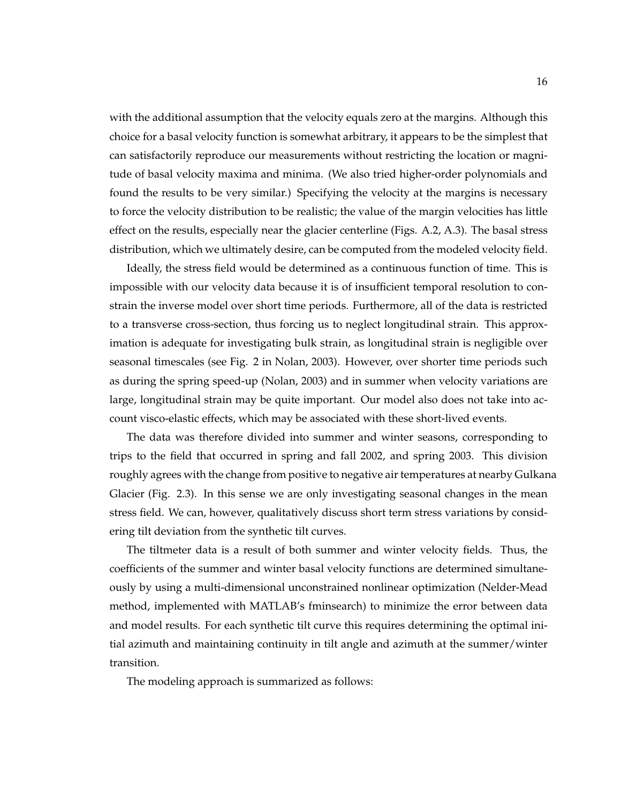with the additional assumption that the velocity equals zero at the margins. Although this choice for a basal velocity function is somewhat arbitrary, it appears to be the simplest that can satisfactorily reproduce our measurements without restricting the location or magnitude of basal velocity maxima and minima. (We also tried higher-order polynomials and found the results to be very similar.) Specifying the velocity at the margins is necessary to force the velocity distribution to be realistic; the value of the margin velocities has little effect on the results, especially near the glacier centerline (Figs. A.2, A.3). The basal stress distribution, which we ultimately desire, can be computed from the modeled velocity field.

Ideally, the stress field would be determined as a continuous function of time. This is impossible with our velocity data because it is of insufficient temporal resolution to constrain the inverse model over short time periods. Furthermore, all of the data is restricted to a transverse cross-section, thus forcing us to neglect longitudinal strain. This approximation is adequate for investigating bulk strain, as longitudinal strain is negligible over seasonal timescales (see Fig. 2 in Nolan, 2003). However, over shorter time periods such as during the spring speed-up (Nolan, 2003) and in summer when velocity variations are large, longitudinal strain may be quite important. Our model also does not take into account visco-elastic effects, which may be associated with these short-lived events.

The data was therefore divided into summer and winter seasons, corresponding to trips to the field that occurred in spring and fall 2002, and spring 2003. This division roughly agrees with the change from positive to negative air temperatures at nearby Gulkana Glacier (Fig. 2.3). In this sense we are only investigating seasonal changes in the mean stress field. We can, however, qualitatively discuss short term stress variations by considering tilt deviation from the synthetic tilt curves.

The tiltmeter data is a result of both summer and winter velocity fields. Thus, the coefficients of the summer and winter basal velocity functions are determined simultaneously by using a multi-dimensional unconstrained nonlinear optimization (Nelder-Mead method, implemented with MATLAB's fminsearch) to minimize the error between data and model results. For each synthetic tilt curve this requires determining the optimal initial azimuth and maintaining continuity in tilt angle and azimuth at the summer/winter transition.

The modeling approach is summarized as follows: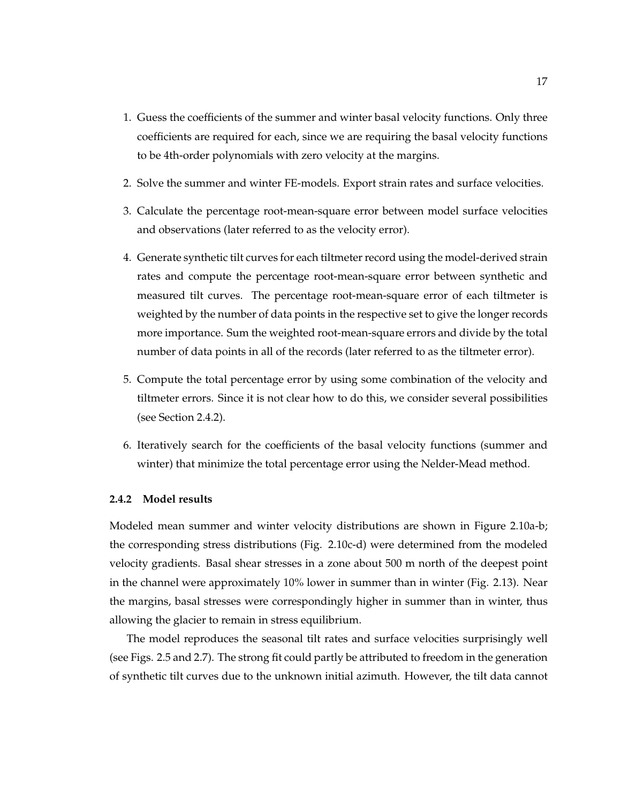- 1. Guess the coefficients of the summer and winter basal velocity functions. Only three coefficients are required for each, since we are requiring the basal velocity functions to be 4th-order polynomials with zero velocity at the margins.
- 2. Solve the summer and winter FE-models. Export strain rates and surface velocities.
- 3. Calculate the percentage root-mean-square error between model surface velocities and observations (later referred to as the velocity error).
- 4. Generate synthetic tilt curves for each tiltmeter record using the model-derived strain rates and compute the percentage root-mean-square error between synthetic and measured tilt curves. The percentage root-mean-square error of each tiltmeter is weighted by the number of data points in the respective set to give the longer records more importance. Sum the weighted root-mean-square errors and divide by the total number of data points in all of the records (later referred to as the tiltmeter error).
- 5. Compute the total percentage error by using some combination of the velocity and tiltmeter errors. Since it is not clear how to do this, we consider several possibilities (see Section 2.4.2).
- 6. Iteratively search for the coefficients of the basal velocity functions (summer and winter) that minimize the total percentage error using the Nelder-Mead method.

### **2.4.2 Model results**

Modeled mean summer and winter velocity distributions are shown in Figure 2.10a-b; the corresponding stress distributions (Fig. 2.10c-d) were determined from the modeled velocity gradients. Basal shear stresses in a zone about 500 m north of the deepest point in the channel were approximately 10% lower in summer than in winter (Fig. 2.13). Near the margins, basal stresses were correspondingly higher in summer than in winter, thus allowing the glacier to remain in stress equilibrium.

The model reproduces the seasonal tilt rates and surface velocities surprisingly well (see Figs. 2.5 and 2.7). The strong fit could partly be attributed to freedom in the generation of synthetic tilt curves due to the unknown initial azimuth. However, the tilt data cannot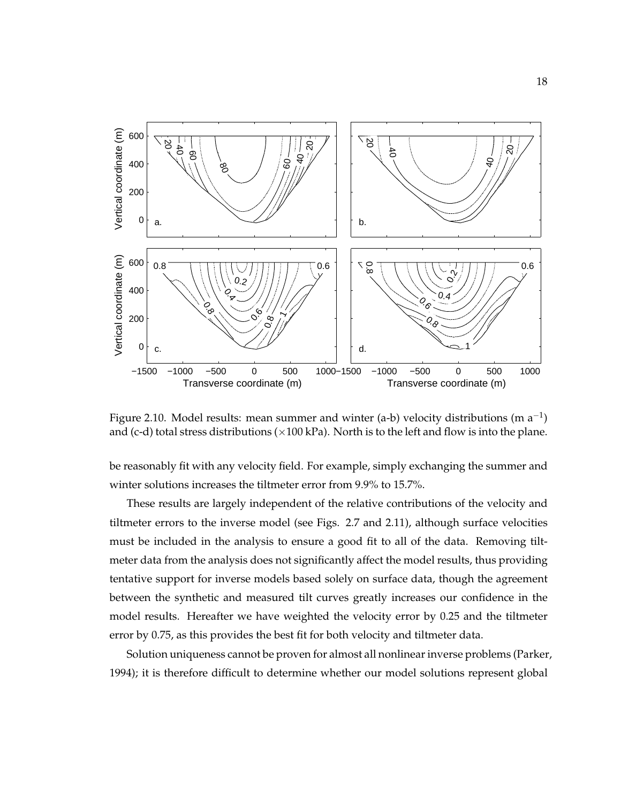

Figure 2.10. Model results: mean summer and winter (a-b) velocity distributions (m  $a^{-1}$ ) and (c-d) total stress distributions ( $\times$ 100 kPa). North is to the left and flow is into the plane.

be reasonably fit with any velocity field. For example, simply exchanging the summer and winter solutions increases the tiltmeter error from 9.9% to 15.7%.

These results are largely independent of the relative contributions of the velocity and tiltmeter errors to the inverse model (see Figs. 2.7 and 2.11), although surface velocities must be included in the analysis to ensure a good fit to all of the data. Removing tiltmeter data from the analysis does not significantly affect the model results, thus providing tentative support for inverse models based solely on surface data, though the agreement between the synthetic and measured tilt curves greatly increases our confidence in the model results. Hereafter we have weighted the velocity error by 0.25 and the tiltmeter error by 0.75, as this provides the best fit for both velocity and tiltmeter data.

Solution uniqueness cannot be proven for almost all nonlinear inverse problems (Parker, 1994); it is therefore difficult to determine whether our model solutions represent global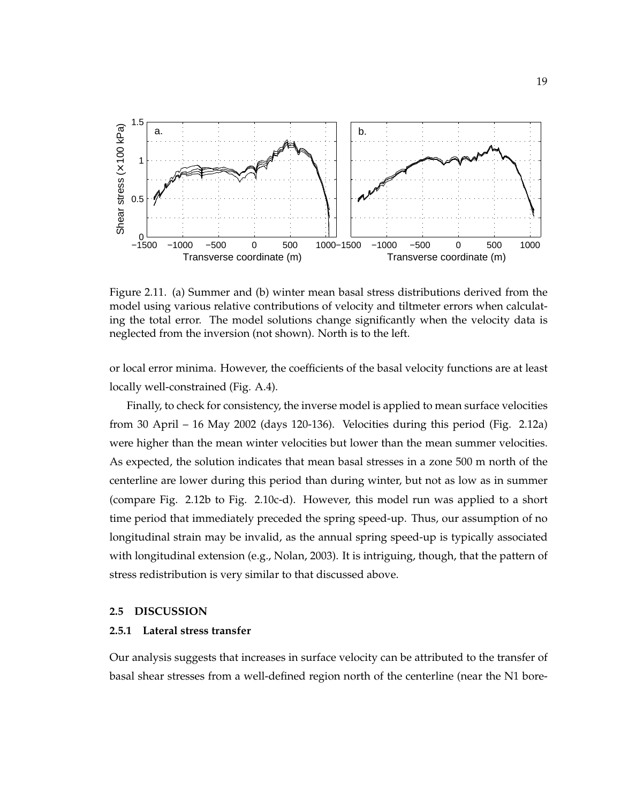

Figure 2.11. (a) Summer and (b) winter mean basal stress distributions derived from the model using various relative contributions of velocity and tiltmeter errors when calculating the total error. The model solutions change significantly when the velocity data is neglected from the inversion (not shown). North is to the left.

or local error minima. However, the coefficients of the basal velocity functions are at least locally well-constrained (Fig. A.4).

Finally, to check for consistency, the inverse model is applied to mean surface velocities from 30 April – 16 May 2002 (days 120-136). Velocities during this period (Fig. 2.12a) were higher than the mean winter velocities but lower than the mean summer velocities. As expected, the solution indicates that mean basal stresses in a zone 500 m north of the centerline are lower during this period than during winter, but not as low as in summer (compare Fig. 2.12b to Fig. 2.10c-d). However, this model run was applied to a short time period that immediately preceded the spring speed-up. Thus, our assumption of no longitudinal strain may be invalid, as the annual spring speed-up is typically associated with longitudinal extension (e.g., Nolan, 2003). It is intriguing, though, that the pattern of stress redistribution is very similar to that discussed above.

#### **2.5 DISCUSSION**

#### **2.5.1 Lateral stress transfer**

Our analysis suggests that increases in surface velocity can be attributed to the transfer of basal shear stresses from a well-defined region north of the centerline (near the N1 bore-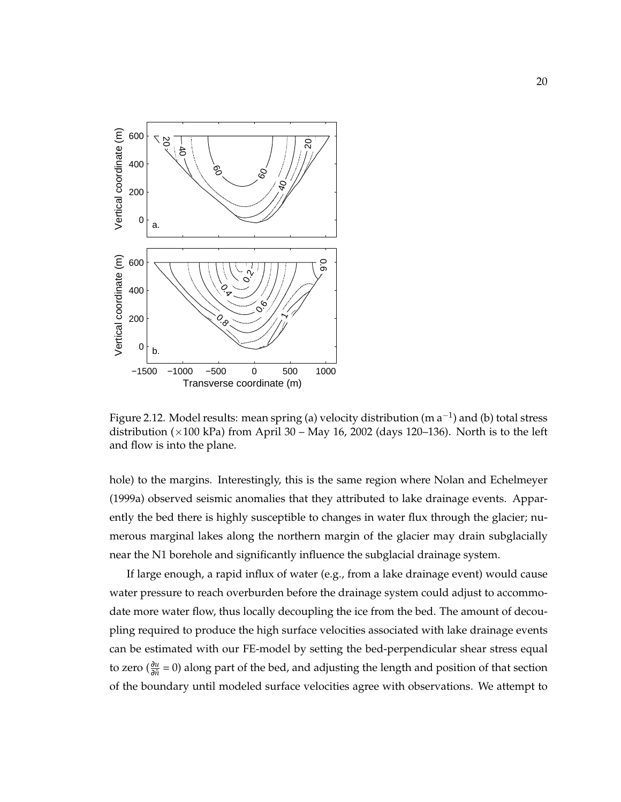

Figure 2.12. Model results: mean spring (a) velocity distribution (m  $a^{-1}$ ) and (b) total stress distribution ( $\times$ 100 kPa) from April 30 – May 16, 2002 (days 120–136). North is to the left and flow is into the plane.

hole) to the margins. Interestingly, this is the same region where Nolan and Echelmeyer (1999a) observed seismic anomalies that they attributed to lake drainage events. Apparently the bed there is highly susceptible to changes in water flux through the glacier; numerous marginal lakes along the northern margin of the glacier may drain subglacially near the N1 borehole and significantly influence the subglacial drainage system.

If large enough, a rapid influx of water (e.g., from a lake drainage event) would cause water pressure to reach overburden before the drainage system could adjust to accommodate more water flow, thus locally decoupling the ice from the bed. The amount of decoupling required to produce the high surface velocities associated with lake drainage events can be estimated with our FE-model by setting the bed-perpendicular shear stress equal to zero ( $\frac{\partial u}{\partial \hat{n}}$  = 0) along part of the bed, and adjusting the length and position of that section of the boundary until modeled surface velocities agree with observations. We attempt to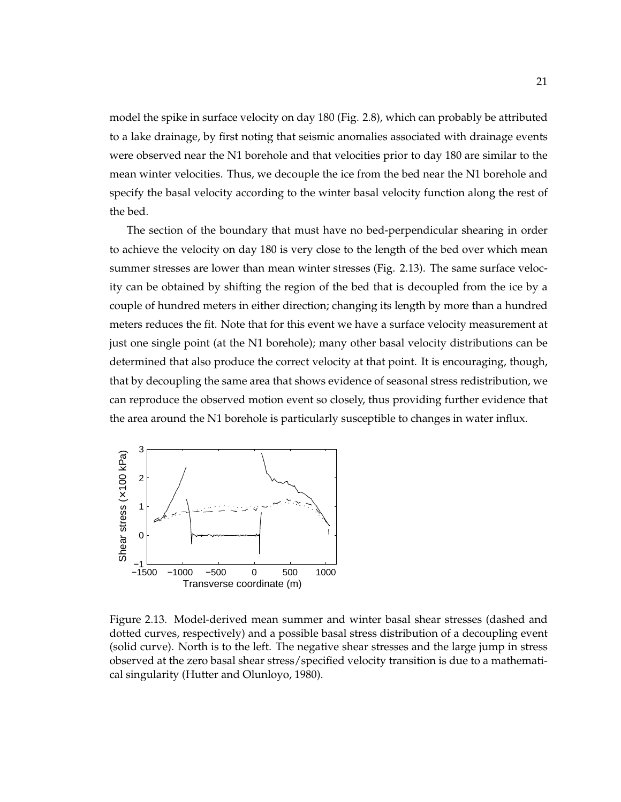model the spike in surface velocity on day 180 (Fig. 2.8), which can probably be attributed to a lake drainage, by first noting that seismic anomalies associated with drainage events were observed near the N1 borehole and that velocities prior to day 180 are similar to the mean winter velocities. Thus, we decouple the ice from the bed near the N1 borehole and specify the basal velocity according to the winter basal velocity function along the rest of the bed.

The section of the boundary that must have no bed-perpendicular shearing in order to achieve the velocity on day 180 is very close to the length of the bed over which mean summer stresses are lower than mean winter stresses (Fig. 2.13). The same surface velocity can be obtained by shifting the region of the bed that is decoupled from the ice by a couple of hundred meters in either direction; changing its length by more than a hundred meters reduces the fit. Note that for this event we have a surface velocity measurement at just one single point (at the N1 borehole); many other basal velocity distributions can be determined that also produce the correct velocity at that point. It is encouraging, though, that by decoupling the same area that shows evidence of seasonal stress redistribution, we can reproduce the observed motion event so closely, thus providing further evidence that the area around the N1 borehole is particularly susceptible to changes in water influx.



Figure 2.13. Model-derived mean summer and winter basal shear stresses (dashed and dotted curves, respectively) and a possible basal stress distribution of a decoupling event (solid curve). North is to the left. The negative shear stresses and the large jump in stress observed at the zero basal shear stress/specified velocity transition is due to a mathematical singularity (Hutter and Olunloyo, 1980).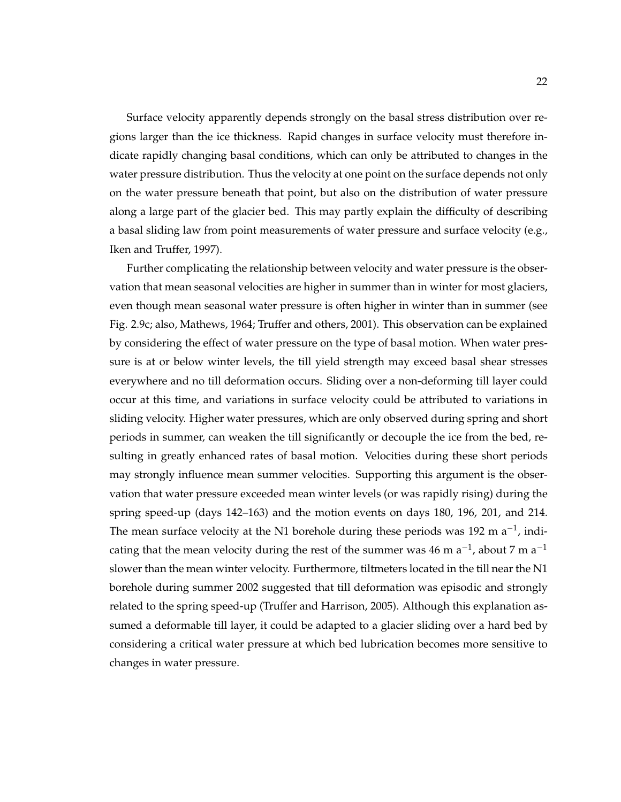Surface velocity apparently depends strongly on the basal stress distribution over regions larger than the ice thickness. Rapid changes in surface velocity must therefore indicate rapidly changing basal conditions, which can only be attributed to changes in the water pressure distribution. Thus the velocity at one point on the surface depends not only on the water pressure beneath that point, but also on the distribution of water pressure along a large part of the glacier bed. This may partly explain the difficulty of describing a basal sliding law from point measurements of water pressure and surface velocity (e.g., Iken and Truffer, 1997).

Further complicating the relationship between velocity and water pressure is the observation that mean seasonal velocities are higher in summer than in winter for most glaciers, even though mean seasonal water pressure is often higher in winter than in summer (see Fig. 2.9c; also, Mathews, 1964; Truffer and others, 2001). This observation can be explained by considering the effect of water pressure on the type of basal motion. When water pressure is at or below winter levels, the till yield strength may exceed basal shear stresses everywhere and no till deformation occurs. Sliding over a non-deforming till layer could occur at this time, and variations in surface velocity could be attributed to variations in sliding velocity. Higher water pressures, which are only observed during spring and short periods in summer, can weaken the till significantly or decouple the ice from the bed, resulting in greatly enhanced rates of basal motion. Velocities during these short periods may strongly influence mean summer velocities. Supporting this argument is the observation that water pressure exceeded mean winter levels (or was rapidly rising) during the spring speed-up (days 142–163) and the motion events on days 180, 196, 201, and 214. The mean surface velocity at the N1 borehole during these periods was 192 m  $a^{-1}$ , indicating that the mean velocity during the rest of the summer was 46 m a<sup>-1</sup>, about 7 m a<sup>-1</sup> slower than the mean winter velocity. Furthermore, tiltmeters located in the till near the N1 borehole during summer 2002 suggested that till deformation was episodic and strongly related to the spring speed-up (Truffer and Harrison, 2005). Although this explanation assumed a deformable till layer, it could be adapted to a glacier sliding over a hard bed by considering a critical water pressure at which bed lubrication becomes more sensitive to changes in water pressure.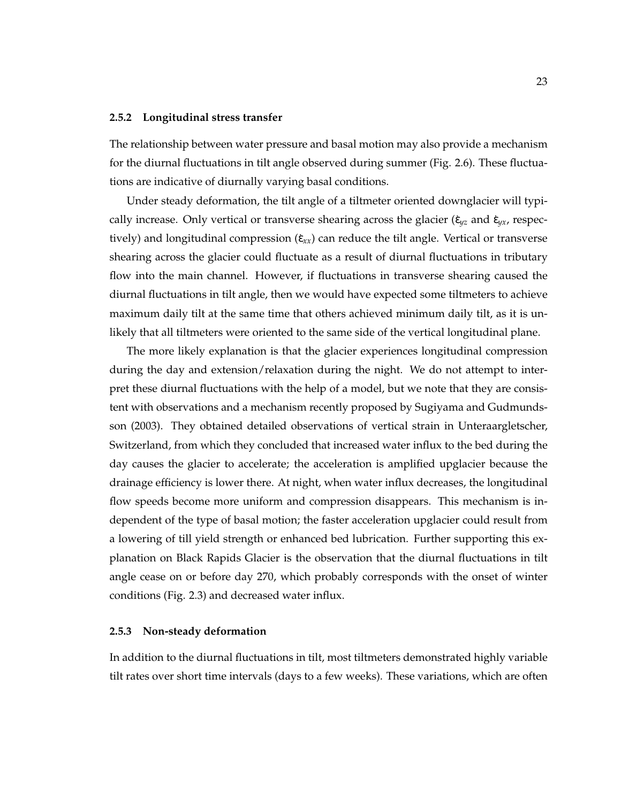#### **2.5.2 Longitudinal stress transfer**

The relationship between water pressure and basal motion may also provide a mechanism for the diurnal fluctuations in tilt angle observed during summer (Fig. 2.6). These fluctuations are indicative of diurnally varying basal conditions.

Under steady deformation, the tilt angle of a tiltmeter oriented downglacier will typically increase. Only vertical or transverse shearing across the glacier ( $\dot{\epsilon}_{yz}$  and  $\dot{\epsilon}_{yx}$ , respectively) and longitudinal compression  $(\dot{\epsilon}_{xx})$  can reduce the tilt angle. Vertical or transverse shearing across the glacier could fluctuate as a result of diurnal fluctuations in tributary flow into the main channel. However, if fluctuations in transverse shearing caused the diurnal fluctuations in tilt angle, then we would have expected some tiltmeters to achieve maximum daily tilt at the same time that others achieved minimum daily tilt, as it is unlikely that all tiltmeters were oriented to the same side of the vertical longitudinal plane.

The more likely explanation is that the glacier experiences longitudinal compression during the day and extension/relaxation during the night. We do not attempt to interpret these diurnal fluctuations with the help of a model, but we note that they are consistent with observations and a mechanism recently proposed by Sugiyama and Gudmundsson (2003). They obtained detailed observations of vertical strain in Unteraargletscher, Switzerland, from which they concluded that increased water influx to the bed during the day causes the glacier to accelerate; the acceleration is amplified upglacier because the drainage efficiency is lower there. At night, when water influx decreases, the longitudinal flow speeds become more uniform and compression disappears. This mechanism is independent of the type of basal motion; the faster acceleration upglacier could result from a lowering of till yield strength or enhanced bed lubrication. Further supporting this explanation on Black Rapids Glacier is the observation that the diurnal fluctuations in tilt angle cease on or before day 270, which probably corresponds with the onset of winter conditions (Fig. 2.3) and decreased water influx.

#### **2.5.3 Non-steady deformation**

In addition to the diurnal fluctuations in tilt, most tiltmeters demonstrated highly variable tilt rates over short time intervals (days to a few weeks). These variations, which are often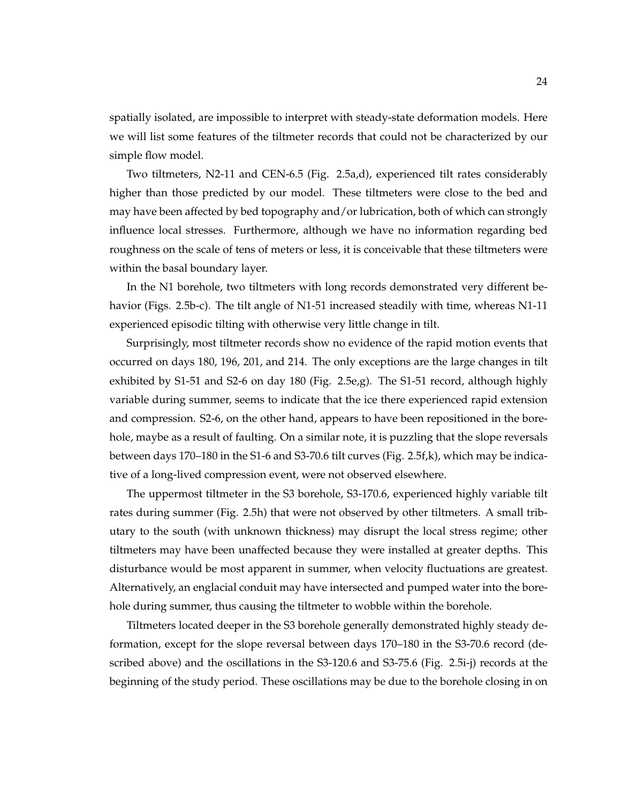spatially isolated, are impossible to interpret with steady-state deformation models. Here we will list some features of the tiltmeter records that could not be characterized by our simple flow model.

Two tiltmeters, N2-11 and CEN-6.5 (Fig. 2.5a,d), experienced tilt rates considerably higher than those predicted by our model. These tiltmeters were close to the bed and may have been affected by bed topography and/or lubrication, both of which can strongly influence local stresses. Furthermore, although we have no information regarding bed roughness on the scale of tens of meters or less, it is conceivable that these tiltmeters were within the basal boundary layer.

In the N1 borehole, two tiltmeters with long records demonstrated very different behavior (Figs. 2.5b-c). The tilt angle of N1-51 increased steadily with time, whereas N1-11 experienced episodic tilting with otherwise very little change in tilt.

Surprisingly, most tiltmeter records show no evidence of the rapid motion events that occurred on days 180, 196, 201, and 214. The only exceptions are the large changes in tilt exhibited by S1-51 and S2-6 on day 180 (Fig. 2.5e,g). The S1-51 record, although highly variable during summer, seems to indicate that the ice there experienced rapid extension and compression. S2-6, on the other hand, appears to have been repositioned in the borehole, maybe as a result of faulting. On a similar note, it is puzzling that the slope reversals between days 170–180 in the S1-6 and S3-70.6 tilt curves (Fig. 2.5f,k), which may be indicative of a long-lived compression event, were not observed elsewhere.

The uppermost tiltmeter in the S3 borehole, S3-170.6, experienced highly variable tilt rates during summer (Fig. 2.5h) that were not observed by other tiltmeters. A small tributary to the south (with unknown thickness) may disrupt the local stress regime; other tiltmeters may have been unaffected because they were installed at greater depths. This disturbance would be most apparent in summer, when velocity fluctuations are greatest. Alternatively, an englacial conduit may have intersected and pumped water into the borehole during summer, thus causing the tiltmeter to wobble within the borehole.

Tiltmeters located deeper in the S3 borehole generally demonstrated highly steady deformation, except for the slope reversal between days 170–180 in the S3-70.6 record (described above) and the oscillations in the S3-120.6 and S3-75.6 (Fig. 2.5i-j) records at the beginning of the study period. These oscillations may be due to the borehole closing in on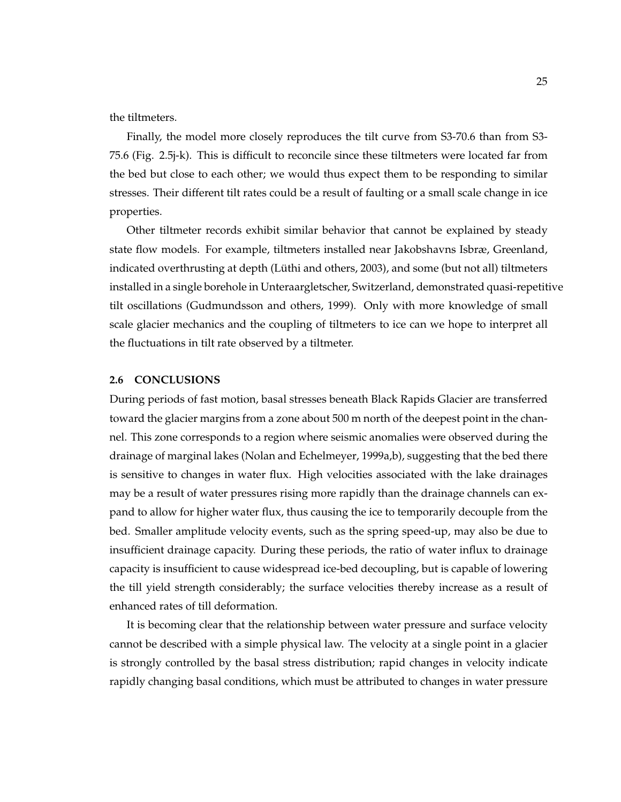the tiltmeters.

Finally, the model more closely reproduces the tilt curve from S3-70.6 than from S3- 75.6 (Fig. 2.5j-k). This is difficult to reconcile since these tiltmeters were located far from the bed but close to each other; we would thus expect them to be responding to similar stresses. Their different tilt rates could be a result of faulting or a small scale change in ice properties.

Other tiltmeter records exhibit similar behavior that cannot be explained by steady state flow models. For example, tiltmeters installed near Jakobshavns Isbræ, Greenland, indicated overthrusting at depth (Lüthi and others, 2003), and some (but not all) tiltmeters installed in a single borehole in Unteraargletscher, Switzerland, demonstrated quasi-repetitive tilt oscillations (Gudmundsson and others, 1999). Only with more knowledge of small scale glacier mechanics and the coupling of tiltmeters to ice can we hope to interpret all the fluctuations in tilt rate observed by a tiltmeter.

#### **2.6 CONCLUSIONS**

During periods of fast motion, basal stresses beneath Black Rapids Glacier are transferred toward the glacier margins from a zone about 500 m north of the deepest point in the channel. This zone corresponds to a region where seismic anomalies were observed during the drainage of marginal lakes (Nolan and Echelmeyer, 1999a,b), suggesting that the bed there is sensitive to changes in water flux. High velocities associated with the lake drainages may be a result of water pressures rising more rapidly than the drainage channels can expand to allow for higher water flux, thus causing the ice to temporarily decouple from the bed. Smaller amplitude velocity events, such as the spring speed-up, may also be due to insufficient drainage capacity. During these periods, the ratio of water influx to drainage capacity is insufficient to cause widespread ice-bed decoupling, but is capable of lowering the till yield strength considerably; the surface velocities thereby increase as a result of enhanced rates of till deformation.

It is becoming clear that the relationship between water pressure and surface velocity cannot be described with a simple physical law. The velocity at a single point in a glacier is strongly controlled by the basal stress distribution; rapid changes in velocity indicate rapidly changing basal conditions, which must be attributed to changes in water pressure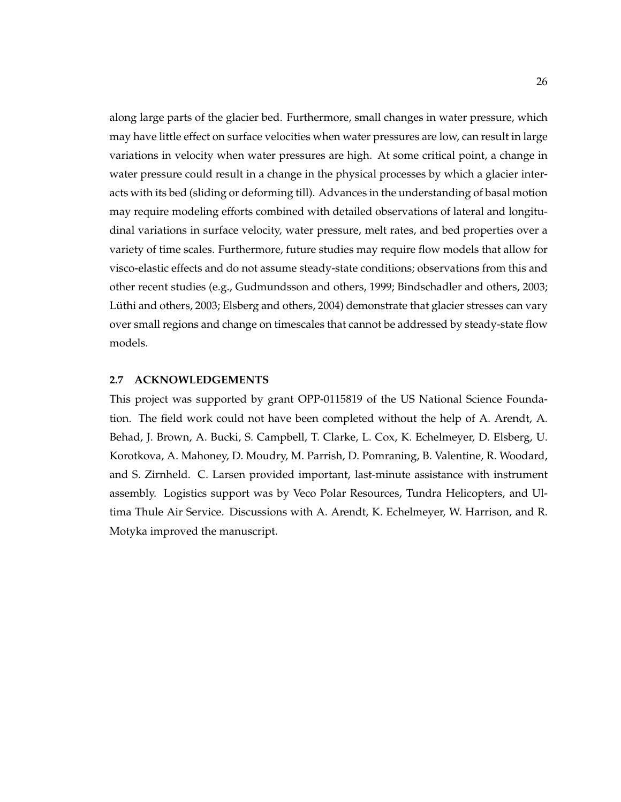along large parts of the glacier bed. Furthermore, small changes in water pressure, which may have little effect on surface velocities when water pressures are low, can result in large variations in velocity when water pressures are high. At some critical point, a change in water pressure could result in a change in the physical processes by which a glacier interacts with its bed (sliding or deforming till). Advances in the understanding of basal motion may require modeling efforts combined with detailed observations of lateral and longitudinal variations in surface velocity, water pressure, melt rates, and bed properties over a variety of time scales. Furthermore, future studies may require flow models that allow for visco-elastic effects and do not assume steady-state conditions; observations from this and other recent studies (e.g., Gudmundsson and others, 1999; Bindschadler and others, 2003; Lüthi and others, 2003; Elsberg and others, 2004) demonstrate that glacier stresses can vary over small regions and change on timescales that cannot be addressed by steady-state flow models.

#### **2.7 ACKNOWLEDGEMENTS**

This project was supported by grant OPP-0115819 of the US National Science Foundation. The field work could not have been completed without the help of A. Arendt, A. Behad, J. Brown, A. Bucki, S. Campbell, T. Clarke, L. Cox, K. Echelmeyer, D. Elsberg, U. Korotkova, A. Mahoney, D. Moudry, M. Parrish, D. Pomraning, B. Valentine, R. Woodard, and S. Zirnheld. C. Larsen provided important, last-minute assistance with instrument assembly. Logistics support was by Veco Polar Resources, Tundra Helicopters, and Ultima Thule Air Service. Discussions with A. Arendt, K. Echelmeyer, W. Harrison, and R. Motyka improved the manuscript.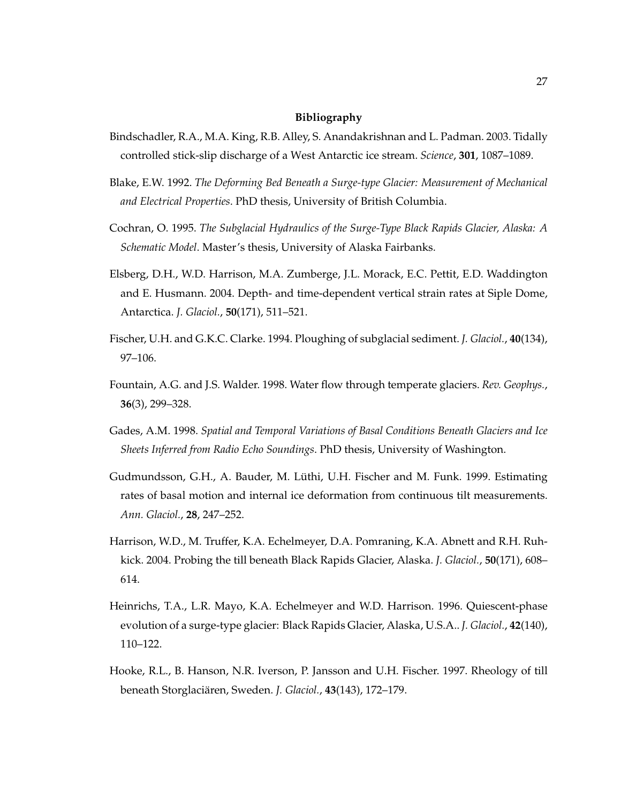#### **Bibliography**

- Bindschadler, R.A., M.A. King, R.B. Alley, S. Anandakrishnan and L. Padman. 2003. Tidally controlled stick-slip discharge of a West Antarctic ice stream. *Science*, **301**, 1087–1089.
- Blake, E.W. 1992. *The Deforming Bed Beneath a Surge-type Glacier: Measurement of Mechanical and Electrical Properties*. PhD thesis, University of British Columbia.
- Cochran, O. 1995. *The Subglacial Hydraulics of the Surge-Type Black Rapids Glacier, Alaska: A Schematic Model*. Master's thesis, University of Alaska Fairbanks.
- Elsberg, D.H., W.D. Harrison, M.A. Zumberge, J.L. Morack, E.C. Pettit, E.D. Waddington and E. Husmann. 2004. Depth- and time-dependent vertical strain rates at Siple Dome, Antarctica. *J. Glaciol.*, **50**(171), 511–521.
- Fischer, U.H. and G.K.C. Clarke. 1994. Ploughing of subglacial sediment. *J. Glaciol.*, **40**(134), 97–106.
- Fountain, A.G. and J.S. Walder. 1998. Water flow through temperate glaciers. *Rev. Geophys.*, **36**(3), 299–328.
- Gades, A.M. 1998. *Spatial and Temporal Variations of Basal Conditions Beneath Glaciers and Ice Sheets Inferred from Radio Echo Soundings*. PhD thesis, University of Washington.
- Gudmundsson, G.H., A. Bauder, M. Luthi, U.H. Fischer and M. Funk. 1999. Estimating ¨ rates of basal motion and internal ice deformation from continuous tilt measurements. *Ann. Glaciol.*, **28**, 247–252.
- Harrison, W.D., M. Truffer, K.A. Echelmeyer, D.A. Pomraning, K.A. Abnett and R.H. Ruhkick. 2004. Probing the till beneath Black Rapids Glacier, Alaska. *J. Glaciol.*, **50**(171), 608– 614.
- Heinrichs, T.A., L.R. Mayo, K.A. Echelmeyer and W.D. Harrison. 1996. Quiescent-phase evolution of a surge-type glacier: Black Rapids Glacier, Alaska, U.S.A.. *J. Glaciol.*, **42**(140), 110–122.
- Hooke, R.L., B. Hanson, N.R. Iverson, P. Jansson and U.H. Fischer. 1997. Rheology of till beneath Storglaciären, Sweden. J. Glaciol., 43(143), 172-179.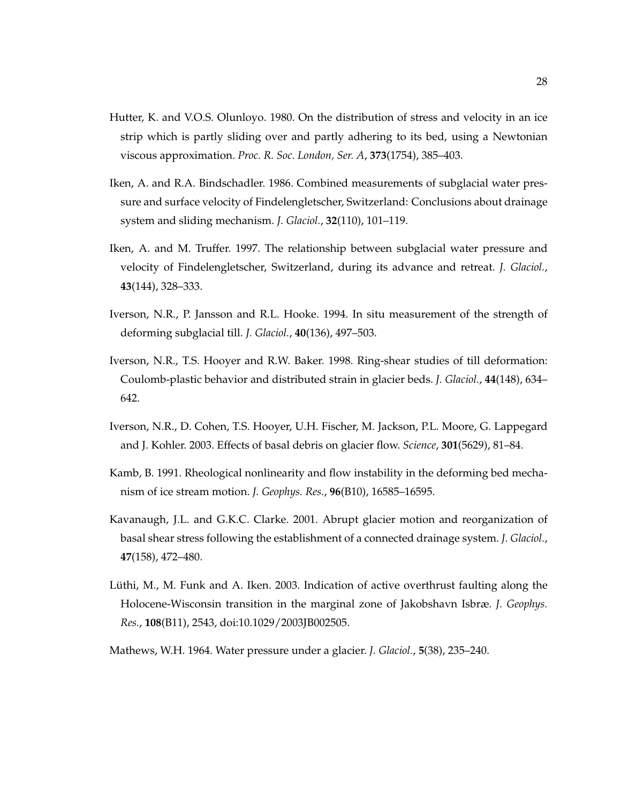- Hutter, K. and V.O.S. Olunloyo. 1980. On the distribution of stress and velocity in an ice strip which is partly sliding over and partly adhering to its bed, using a Newtonian viscous approximation. *Proc. R. Soc. London, Ser. A*, **373**(1754), 385–403.
- Iken, A. and R.A. Bindschadler. 1986. Combined measurements of subglacial water pressure and surface velocity of Findelengletscher, Switzerland: Conclusions about drainage system and sliding mechanism. *J. Glaciol.*, **32**(110), 101–119.
- Iken, A. and M. Truffer. 1997. The relationship between subglacial water pressure and velocity of Findelengletscher, Switzerland, during its advance and retreat. *J. Glaciol.*, **43**(144), 328–333.
- Iverson, N.R., P. Jansson and R.L. Hooke. 1994. In situ measurement of the strength of deforming subglacial till. *J. Glaciol.*, **40**(136), 497–503.
- Iverson, N.R., T.S. Hooyer and R.W. Baker. 1998. Ring-shear studies of till deformation: Coulomb-plastic behavior and distributed strain in glacier beds. *J. Glaciol.*, **44**(148), 634– 642.
- Iverson, N.R., D. Cohen, T.S. Hooyer, U.H. Fischer, M. Jackson, P.L. Moore, G. Lappegard and J. Kohler. 2003. Effects of basal debris on glacier flow. *Science*, **301**(5629), 81–84.
- Kamb, B. 1991. Rheological nonlinearity and flow instability in the deforming bed mechanism of ice stream motion. *J. Geophys. Res.*, **96**(B10), 16585–16595.
- Kavanaugh, J.L. and G.K.C. Clarke. 2001. Abrupt glacier motion and reorganization of basal shear stress following the establishment of a connected drainage system. *J. Glaciol.*, **47**(158), 472–480.
- Lüthi, M., M. Funk and A. Iken. 2003. Indication of active overthrust faulting along the Holocene-Wisconsin transition in the marginal zone of Jakobshavn Isbræ. *J. Geophys. Res.*, **108**(B11), 2543, doi:10.1029/2003JB002505.
- Mathews, W.H. 1964. Water pressure under a glacier. *J. Glaciol.*, **5**(38), 235–240.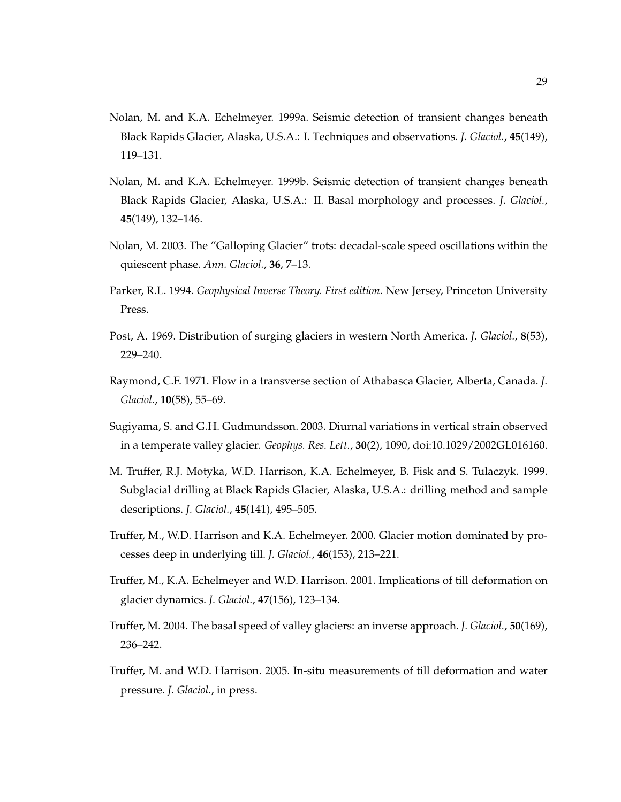- Nolan, M. and K.A. Echelmeyer. 1999a. Seismic detection of transient changes beneath Black Rapids Glacier, Alaska, U.S.A.: I. Techniques and observations. *J. Glaciol.*, **45**(149), 119–131.
- Nolan, M. and K.A. Echelmeyer. 1999b. Seismic detection of transient changes beneath Black Rapids Glacier, Alaska, U.S.A.: II. Basal morphology and processes. *J. Glaciol.*, **45**(149), 132–146.
- Nolan, M. 2003. The "Galloping Glacier" trots: decadal-scale speed oscillations within the quiescent phase. *Ann. Glaciol.*, **36**, 7–13.
- Parker, R.L. 1994. *Geophysical Inverse Theory. First edition*. New Jersey, Princeton University Press.
- Post, A. 1969. Distribution of surging glaciers in western North America. *J. Glaciol.*, **8**(53), 229–240.
- Raymond, C.F. 1971. Flow in a transverse section of Athabasca Glacier, Alberta, Canada. *J. Glaciol.*, **10**(58), 55–69.
- Sugiyama, S. and G.H. Gudmundsson. 2003. Diurnal variations in vertical strain observed in a temperate valley glacier. *Geophys. Res. Lett.*, **30**(2), 1090, doi:10.1029/2002GL016160.
- M. Truffer, R.J. Motyka, W.D. Harrison, K.A. Echelmeyer, B. Fisk and S. Tulaczyk. 1999. Subglacial drilling at Black Rapids Glacier, Alaska, U.S.A.: drilling method and sample descriptions. *J. Glaciol.*, **45**(141), 495–505.
- Truffer, M., W.D. Harrison and K.A. Echelmeyer. 2000. Glacier motion dominated by processes deep in underlying till. *J. Glaciol.*, **46**(153), 213–221.
- Truffer, M., K.A. Echelmeyer and W.D. Harrison. 2001. Implications of till deformation on glacier dynamics. *J. Glaciol.*, **47**(156), 123–134.
- Truffer, M. 2004. The basal speed of valley glaciers: an inverse approach. *J. Glaciol.*, **50**(169), 236–242.
- Truffer, M. and W.D. Harrison. 2005. In-situ measurements of till deformation and water pressure. *J. Glaciol.*, in press.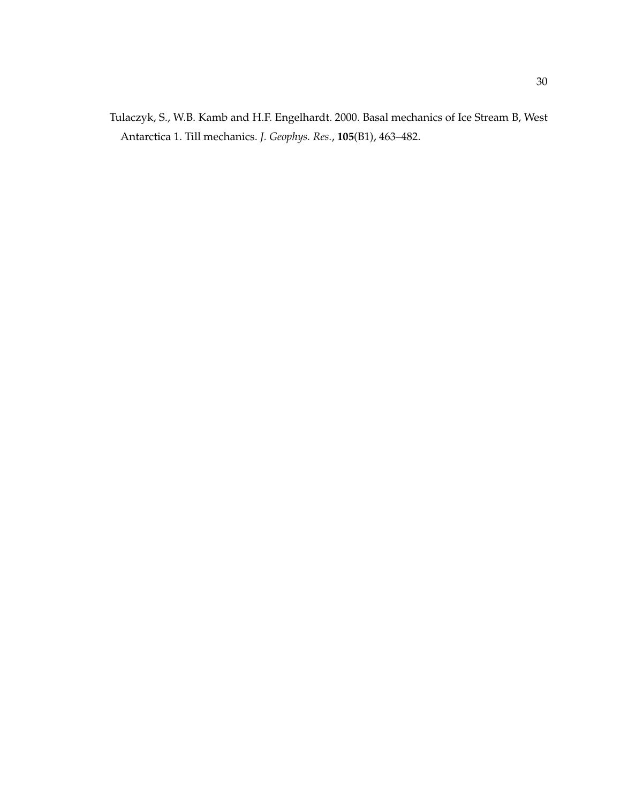Tulaczyk, S., W.B. Kamb and H.F. Engelhardt. 2000. Basal mechanics of Ice Stream B, West Antarctica 1. Till mechanics. *J. Geophys. Res.*, **105**(B1), 463–482.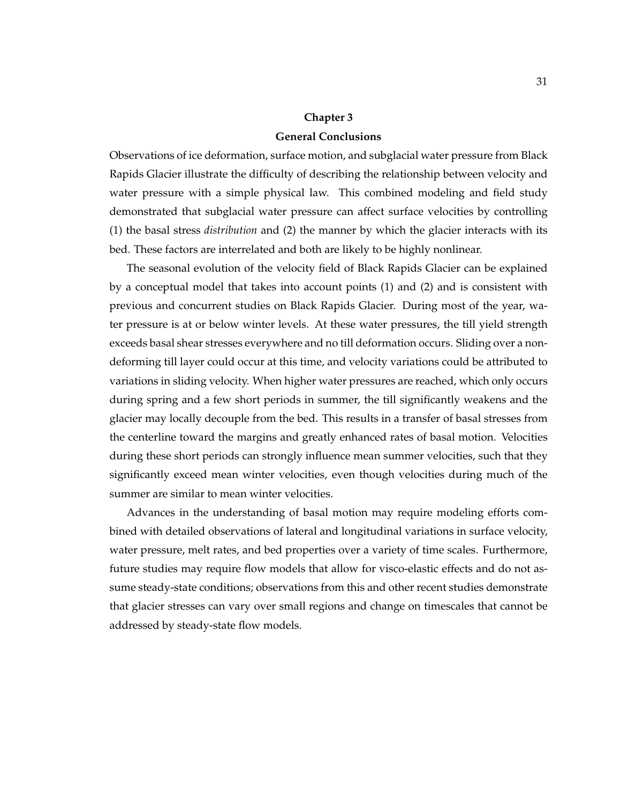#### **Chapter 3**

#### **General Conclusions**

Observations of ice deformation, surface motion, and subglacial water pressure from Black Rapids Glacier illustrate the difficulty of describing the relationship between velocity and water pressure with a simple physical law. This combined modeling and field study demonstrated that subglacial water pressure can affect surface velocities by controlling (1) the basal stress *distribution* and (2) the manner by which the glacier interacts with its bed. These factors are interrelated and both are likely to be highly nonlinear.

The seasonal evolution of the velocity field of Black Rapids Glacier can be explained by a conceptual model that takes into account points (1) and (2) and is consistent with previous and concurrent studies on Black Rapids Glacier. During most of the year, water pressure is at or below winter levels. At these water pressures, the till yield strength exceeds basal shear stresses everywhere and no till deformation occurs. Sliding over a nondeforming till layer could occur at this time, and velocity variations could be attributed to variations in sliding velocity. When higher water pressures are reached, which only occurs during spring and a few short periods in summer, the till significantly weakens and the glacier may locally decouple from the bed. This results in a transfer of basal stresses from the centerline toward the margins and greatly enhanced rates of basal motion. Velocities during these short periods can strongly influence mean summer velocities, such that they significantly exceed mean winter velocities, even though velocities during much of the summer are similar to mean winter velocities.

Advances in the understanding of basal motion may require modeling efforts combined with detailed observations of lateral and longitudinal variations in surface velocity, water pressure, melt rates, and bed properties over a variety of time scales. Furthermore, future studies may require flow models that allow for visco-elastic effects and do not assume steady-state conditions; observations from this and other recent studies demonstrate that glacier stresses can vary over small regions and change on timescales that cannot be addressed by steady-state flow models.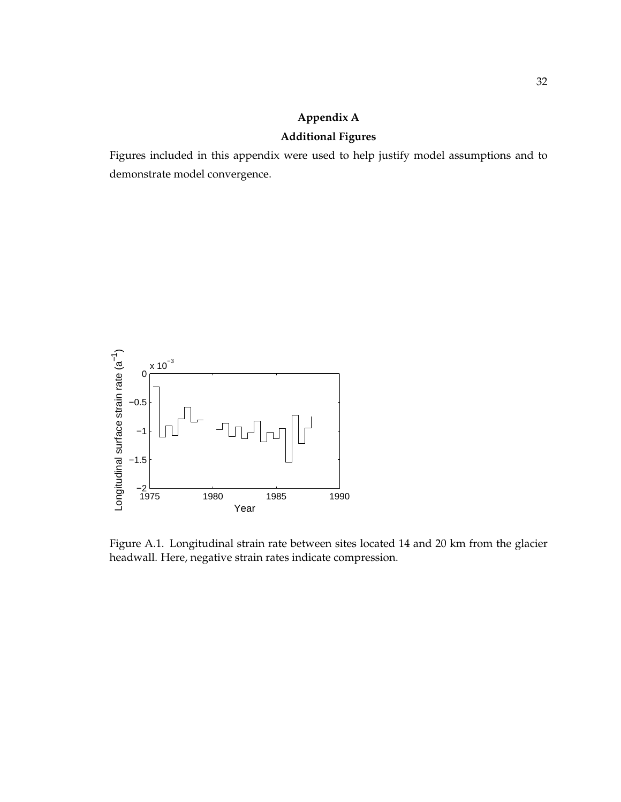# **Appendix A**

## **Additional Figures**

Figures included in this appendix were used to help justify model assumptions and to demonstrate model convergence.



Figure A.1. Longitudinal strain rate between sites located 14 and 20 km from the glacier headwall. Here, negative strain rates indicate compression.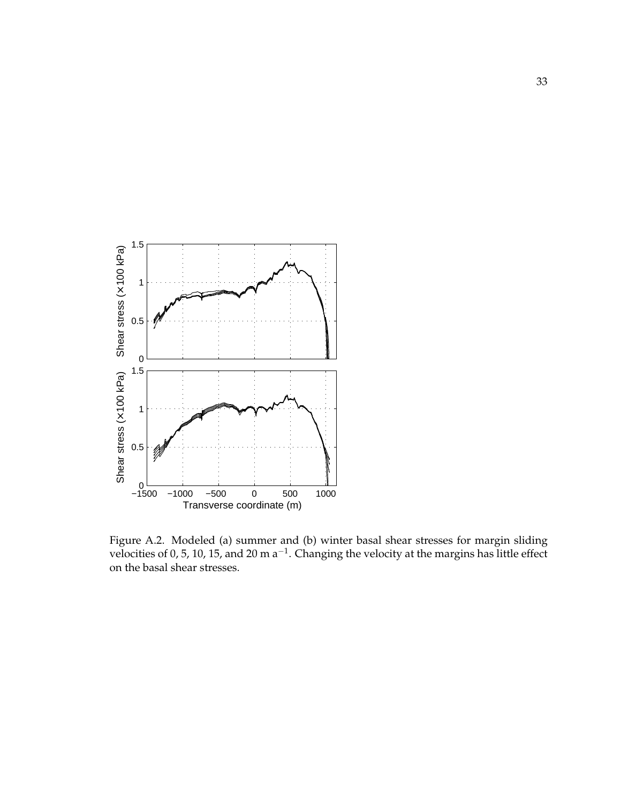

Figure A.2. Modeled (a) summer and (b) winter basal shear stresses for margin sliding velocities of 0, 5, 10, 15, and 20 m  $a^{-1}$ . Changing the velocity at the margins has little effect on the basal shear stresses.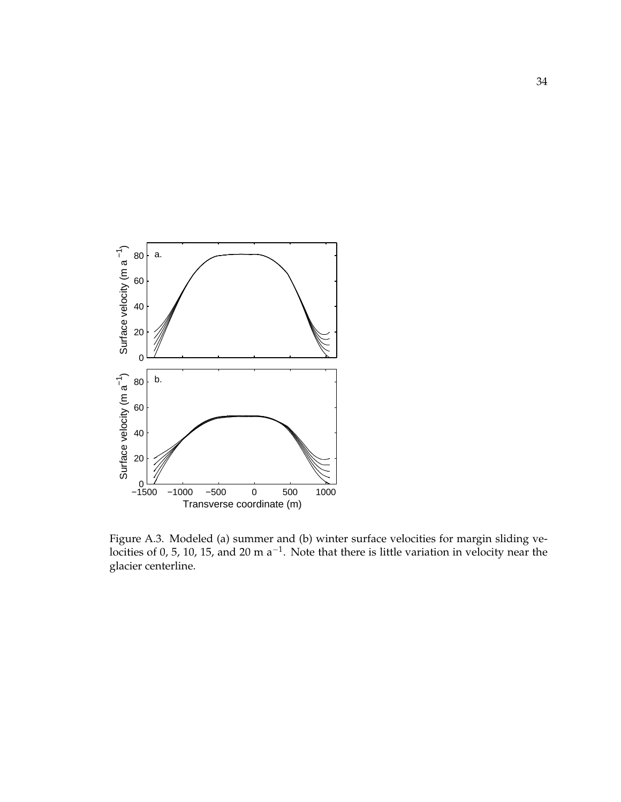

Figure A.3. Modeled (a) summer and (b) winter surface velocities for margin sliding velocities of 0, 5, 10, 15, and 20 m  $a^{-1}$ . Note that there is little variation in velocity near the glacier centerline.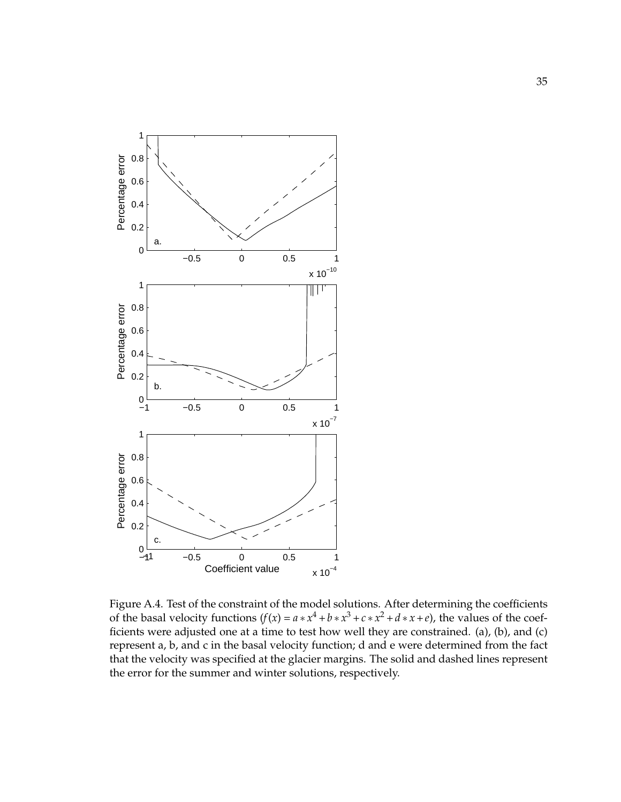

Figure A.4. Test of the constraint of the model solutions. After determining the coefficients of the basal velocity functions  $(f(x) = a * x^4 + b * x^3 + c * x^2 + d * x + e)$ , the values of the coefficients were adjusted one at a time to test how well they are constrained. (a), (b), and (c) represent a, b, and c in the basal velocity function; d and e were determined from the fact that the velocity was specified at the glacier margins. The solid and dashed lines represent the error for the summer and winter solutions, respectively.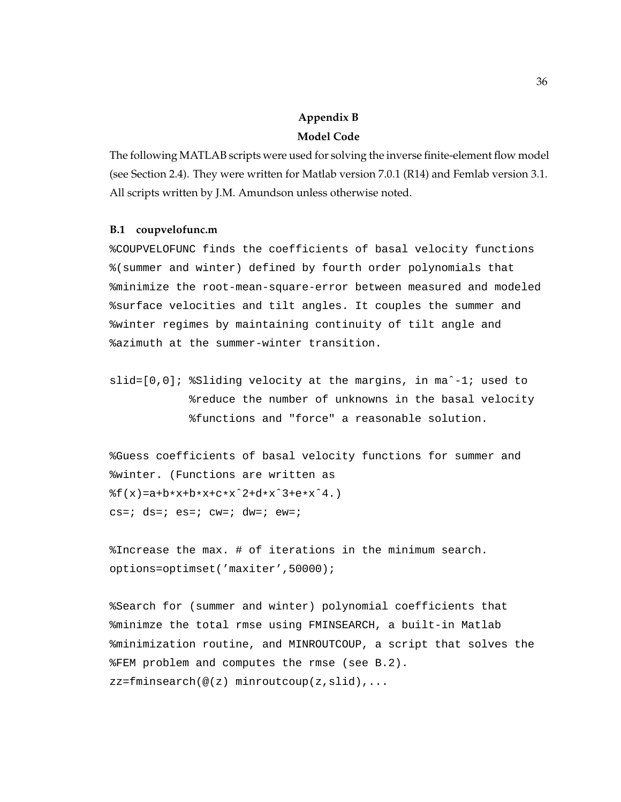# **Appendix B Model Code**

The following MATLAB scripts were used for solving the inverse finite-element flow model (see Section 2.4). They were written for Matlab version 7.0.1 (R14) and Femlab version 3.1. All scripts written by J.M. Amundson unless otherwise noted.

#### **B.1 coupvelofunc.m**

%COUPVELOFUNC finds the coefficients of basal velocity functions %(summer and winter) defined by fourth order polynomials that %minimize the root-mean-square-error between measured and modeled %surface velocities and tilt angles. It couples the summer and %winter regimes by maintaining continuity of tilt angle and %azimuth at the summer-winter transition.

slid=[0,0]; %Sliding velocity at the margins, in maˆ-1; used to %reduce the number of unknowns in the basal velocity %functions and "force" a reasonable solution.

%Guess coefficients of basal velocity functions for summer and %winter. (Functions are written as  $f(x) = a + b * x + b * x + c * x^2 + d * x^3 + e * x^4.$  $cs = i ds = i e s = i c w = i dw = i e w = i$ 

%Increase the max. # of iterations in the minimum search. options=optimset('maxiter',50000);

%Search for (summer and winter) polynomial coefficients that %minimze the total rmse using FMINSEARCH, a built-in Matlab %minimization routine, and MINROUTCOUP, a script that solves the %FEM problem and computes the rmse (see B.2). zz=fminsearch(@(z) minroutcoup(z,slid),...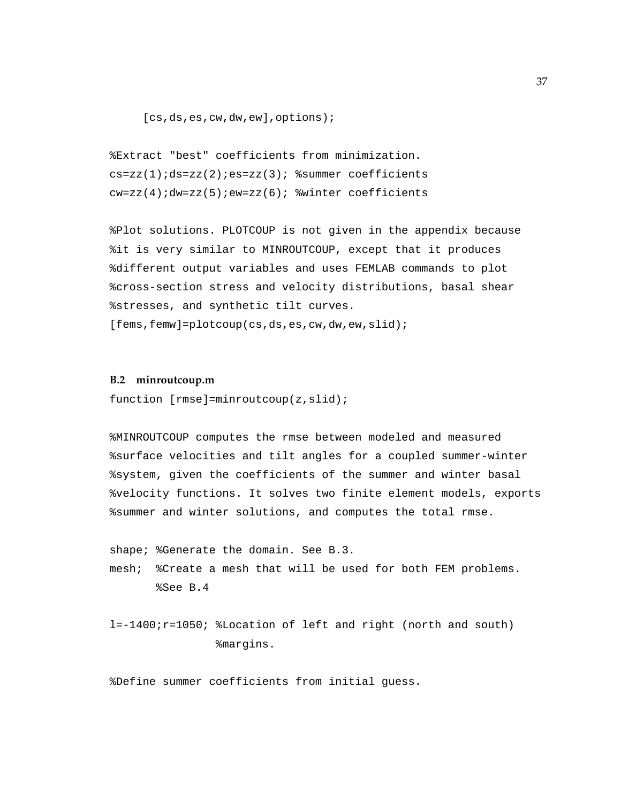[cs,ds,es,cw,dw,ew],options);

```
%Extract "best" coefficients from minimization.
cs=zz(1);ds=zz(2);es=zz(3); \text{symmer coefficients}cw=zz(4);dw=zz(5);ew=zz(6); % c=2 & c=0 winter coefficients
```
%Plot solutions. PLOTCOUP is not given in the appendix because %it is very similar to MINROUTCOUP, except that it produces %different output variables and uses FEMLAB commands to plot %cross-section stress and velocity distributions, basal shear %stresses, and synthetic tilt curves.

[fems, femw]=plotcoup(cs,ds,es,cw,dw,ew,slid);

#### **B.2 minroutcoup.m**

function [rmse]=minroutcoup(z,slid);

%MINROUTCOUP computes the rmse between modeled and measured %surface velocities and tilt angles for a coupled summer-winter %system, given the coefficients of the summer and winter basal %velocity functions. It solves two finite element models, exports %summer and winter solutions, and computes the total rmse.

shape; %Generate the domain. See B.3. mesh; %Create a mesh that will be used for both FEM problems. %See B.4

l=-1400;r=1050; %Location of left and right (north and south) %margins.

%Define summer coefficients from initial guess.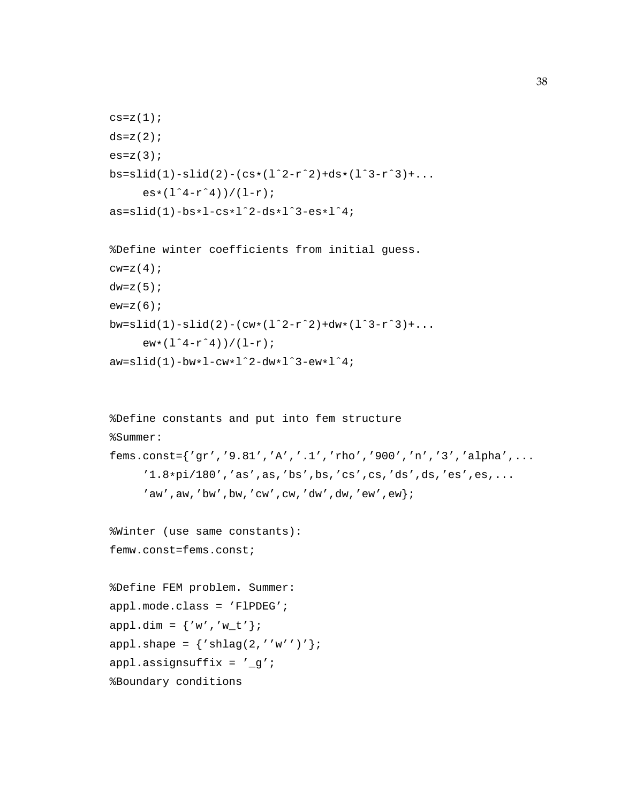```
c s = z(1);ds=z(2);es=z(3);bs=slid(1)-slid(2)-(cs*(l^2-r^2)+ds*(l^3-r^3)+...
     es*(1^4-r^4))/(1-r);as=slid(1)-bs*l-cs*lˆ2-ds*lˆ3-es*lˆ4;
```

```
%Define winter coefficients from initial guess.
cw=z(4);dw=z(5);ew=z(6);bw=slid(1)-slid(2)-(cw*(l^2-r^2)+dw*(l^3-r^3)+...
     ew*(1^4-r^4)/(1-r);aw=slid(1)-bw*l-cw*lˆ2-dw*lˆ3-ew*lˆ4;
```

```
%Define constants and put into fem structure
%Summer:
fems.const={'gr','9.81','A','.1','rho','900','n','3','alpha',...
     '1.8*pi/180','as',as,'bs',bs,'cs',cs,'ds',ds,'es',es,...
     'aw',aw,'bw',bw,'cw',cw,'dw',dw,'ew',ew};
%Winter (use same constants):
femw.const=fems.const;
%Define FEM problem. Summer:
appl.mode.class = 'FlPDEG';
app1.dim = {'w', 'w_t'};appl.shape = \{ 'shlag(2,' 'w'')' \};
appl.assignsuffix = 'g';
%Boundary conditions
```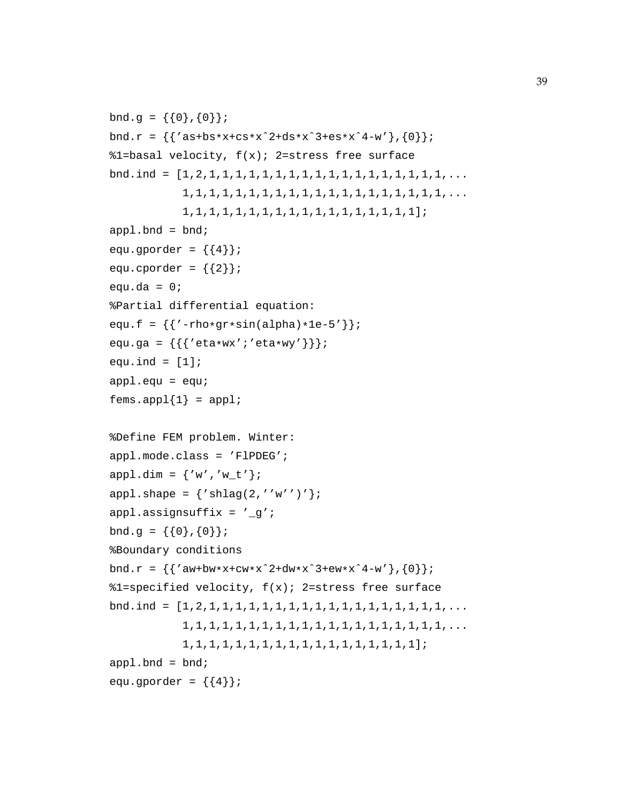```
bnd.g = \{\{0\}, \{0\}\};
bnd.r = \{ 'as+bs*x+cs*x^2+ds*x^3+es*x^4-w' \},\{0\} \};
%1=basal velocity, f(x); 2=stress free surface
bnd.ind = [1,2,1,1,1,1,1,1,1,1,1,1,1,1,1,1,1,1,1,1,...
            1,1,1,1,1,1,1,1,1,1,1,1,1,1,1,1,1,1,1,1,...
            1,1,1,1,1,1,1,1,1,1,1,1,1,1,1,1,1,1];
app1.bnd = bnd;equ.gporder = \{\{4\}\}\;
equ.cporder = \{\{2\}\}\;
equ.da = 0;
%Partial differential equation:
equ.f = \{{'-rho*gr*sin(alpha)*1e-5'}\};equ.ga = { {\{ { 'eta*wx' } : 'eta*wy' } \} };
equ.ind = [1];
app1.equ = equifems.append{1} = app1;%Define FEM problem. Winter:
appl.mode.class = 'FlPDEG';
app1.dim = {'w', 'w_t'};appl.shape = \{ 'shlag(2,' 'w'')' \};
appl.assignsuffix = '_g';
bnd.g = \{\{0\},\{0\}\};
%Boundary conditions
bnd.r = \{ 'aw+bw*x+cw*x^2+dw*x^3+ew*x^4-w' \}, \{ 0 \};
%1=specified velocity, f(x); 2=stress free surface
bnd.ind = [1,2,1,1,1,1,1,1,1,1,1,1,1,1,1,1,1,1,1,1,...
            1,1,1,1,1,1,1,1,1,1,1,1,1,1,1,1,1,1,1,1,...
            1,1,1,1,1,1,1,1,1,1,1,1,1,1,1,1,1,1];
app1.bnd = bnd;equ.gporder = \{\{4\}\}\;
```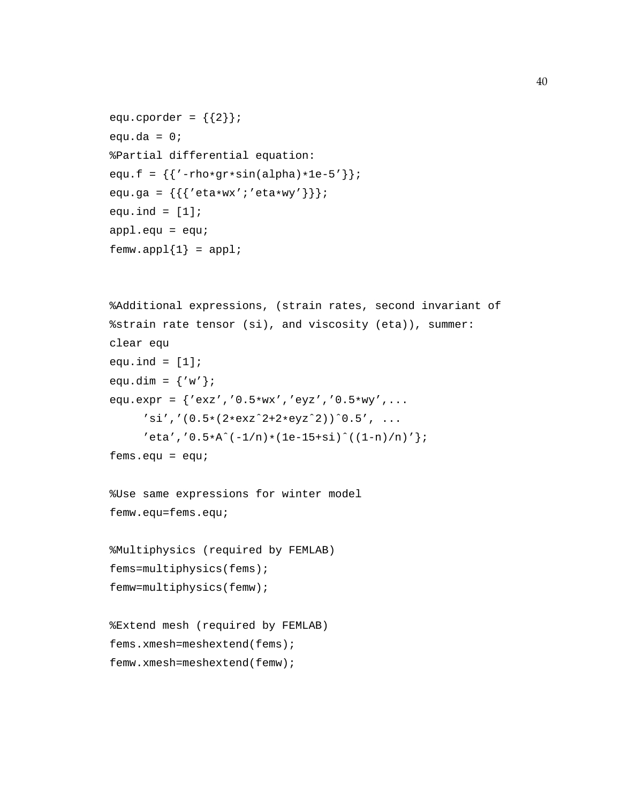```
equ.cporder = \{\{2\}\}\;
equ.da = 0;%Partial differential equation:
equ.f = \{{'-rho*gr*sin(alpha)*1e-5'}\};equ.ga = { {\{ { 'eta*wx' } : 'eta*wy' } \} };
equ.ind = [1];
app1.equ = equifemw.append{1} = app1;
```

```
%Additional expressions, (strain rates, second invariant of
%strain rate tensor (si), and viscosity (eta)), summer:
clear equ
equ.ind = [1];
equ.dim = \{ 'w' \};
equ.expr = {'exz','0.5*wx','eyz','0.5*wy',...
     '\sin','(0.5*(2*exz^2+2*eyz^2))^0.5', ...
     'eta', '0.5*A^(-1/n)*(1e-15+si)^(1-n)/n)';fems.equ = equ;
```
%Use same expressions for winter model femw.equ=fems.equ;

```
%Multiphysics (required by FEMLAB)
fems=multiphysics(fems);
femw=multiphysics(femw);
```

```
%Extend mesh (required by FEMLAB)
fems.xmesh=meshextend(fems);
femw.xmesh=meshextend(femw);
```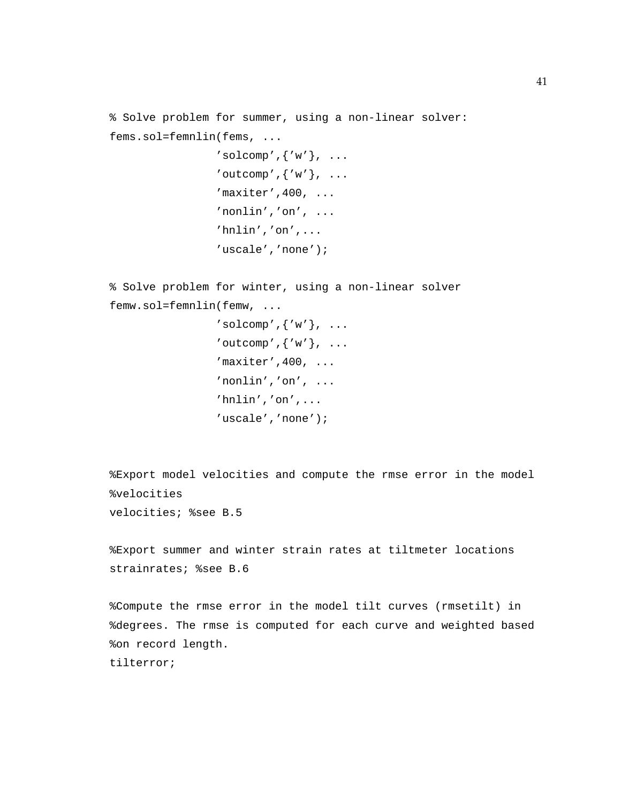% Solve problem for summer, using a non-linear solver: fems.sol=femnlin(fems, ...  $'solcomp', \{ 'w' \}, \ldots$ 'outcomp', $\{ 'w' \}$ , ...  $'m$ axiter', 400,  $\ldots$ 'nonlin','on', ... 'hnlin','on',...

'uscale','none');

% Solve problem for winter, using a non-linear solver femw.sol=femnlin(femw, ...

```
'solcomp', \{ 'w' \}, \ldots'outcomp',\{ 'w' \}, ...
'maxiter', 400, \ldots'nonlin','on', ...
'hnlin','on',...
'uscale','none');
```
%Export model velocities and compute the rmse error in the model %velocities velocities; %see B.5

%Export summer and winter strain rates at tiltmeter locations strainrates; %see B.6

%Compute the rmse error in the model tilt curves (rmsetilt) in %degrees. The rmse is computed for each curve and weighted based %on record length. tilterror;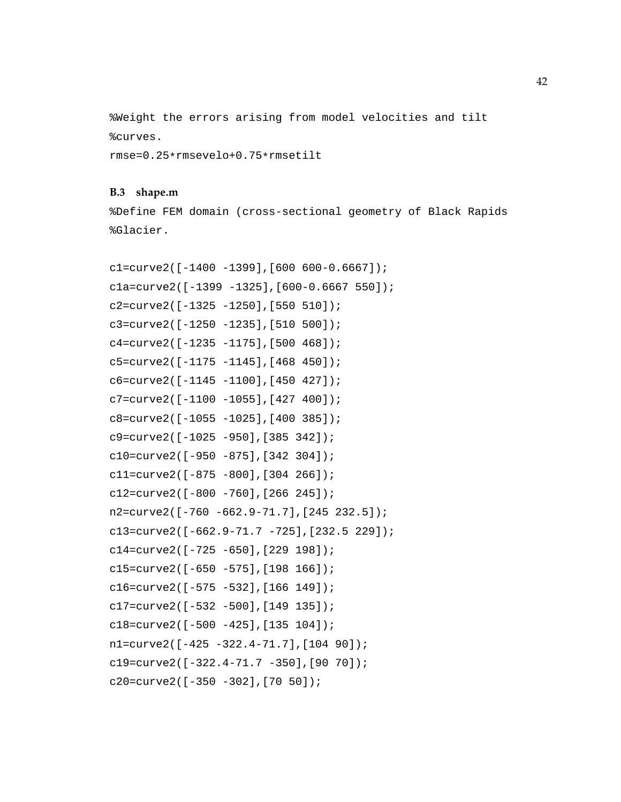%Weight the errors arising from model velocities and tilt %curves.

rmse=0.25\*rmsevelo+0.75\*rmsetilt

#### **B.3 shape.m**

%Define FEM domain (cross-sectional geometry of Black Rapids %Glacier.

```
c1=curve2([-1400 -1399],[600 600-0.6667]);
c1a=curve2([-1399 -1325],[600-0.6667 550]);
c2=curve2([-1325 -1250],[550 510]);
c3=curve2([-1250 -1235],[510 500]);
c4=curve2([-1235 -1175],[500 468]);
c5=curve2([-1175 -1145],[468 450]);
c6=curve2([-1145 -1100],[450 427]);
c7=curve2([-1100 -1055],[427 400]);
c8=curve2([-1055 -1025],[400 385]);
c9=curve2([-1025 -950],[385 342]);
c10=curve2([-950 -875],[342 304]);
c11=curve2([-875 -800],[304 266]);
c12=curve2([-800 -760],[266 245]);
n2=curve2([-760 -662.9-71.7],[245 232.5]);
c13=curve2([-662.9-71.7 -725],[232.5 229]);
c14=curve2([-725 -650],[229 198]);
c15=curve2([-650 -575],[198 166]);
c16=curve2([-575 -532],[166 149]);
c17=curve2([-532 -500],[149 135]);
c18=curve2([-500 -425],[135 104]);
n1=curve2([-425 -322.4-71.7],[104 90]);
c19=curve2([-322.4-71.7 -350],[90 70]);
c20=curve2([-350 -302],[70 50]);
```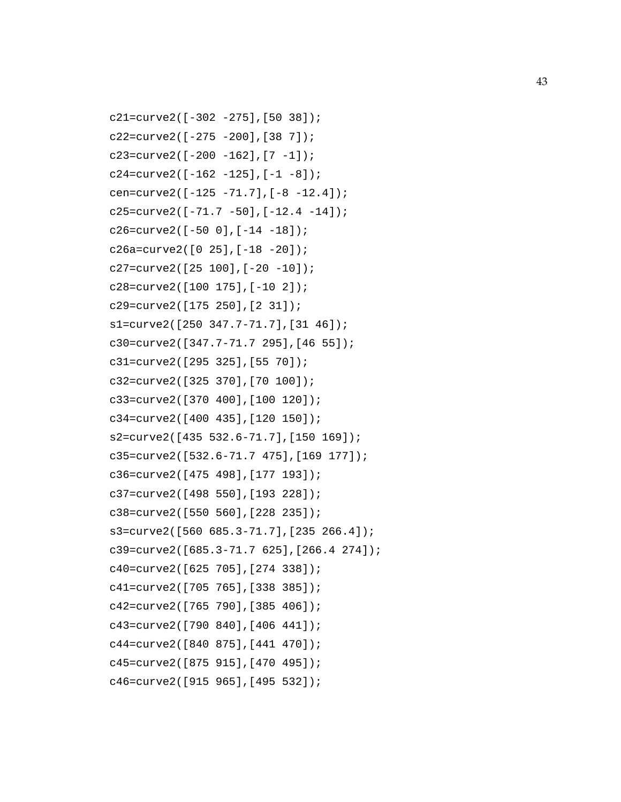```
c21=curve2([-302 -275],[50 38]);
c22=curve2([-275 -200],[38 7]);
c23=curve2([-200 -162],[7 -1]);
c24=curve2([-162 -125],[-1 -8]);
cen=curve2([-125 -71.7],[-8 -12.4]);
c25=curve2([-71.7 -50],[-12.4 -14]);
c26=curve2([-50 0],[-14 -18]);
c26a=curve2([0 25],[-18 -20]);
c27=curve2([25 100],[-20 -10]);
c28=curve2([100 175],[-10 2]);
c29=curve2([175 250],[2 31]);
s1=curve2([250 347.7-71.7],[31 46]);
c30=curve2([347.7-71.7 295],[46 55]);
c31=curve2([295 325],[55 70]);
c32=curve2([325 370],[70 100]);
c33=curve2([370 400],[100 120]);
c34=curve2([400 435],[120 150]);
s2=curve2([435 532.6-71.7],[150 169]);
c35=curve2([532.6-71.7 475],[169 177]);
c36=curve2([475 498],[177 193]);
c37=curve2([498 550],[193 228]);
c38=curve2([550 560],[228 235]);
s3=curve2([560 685.3-71.7],[235 266.4]);
c39=curve2([685.3-71.7 625],[266.4 274]);
c40=curve2([625 705],[274 338]);
c41=curve2([705 765],[338 385]);
c42=curve2([765 790],[385 406]);
c43=curve2([790 840],[406 441]);
c44=curve2([840 875],[441 470]);
c45=curve2([875 915],[470 495]);
c46=curve2([915 965],[495 532]);
```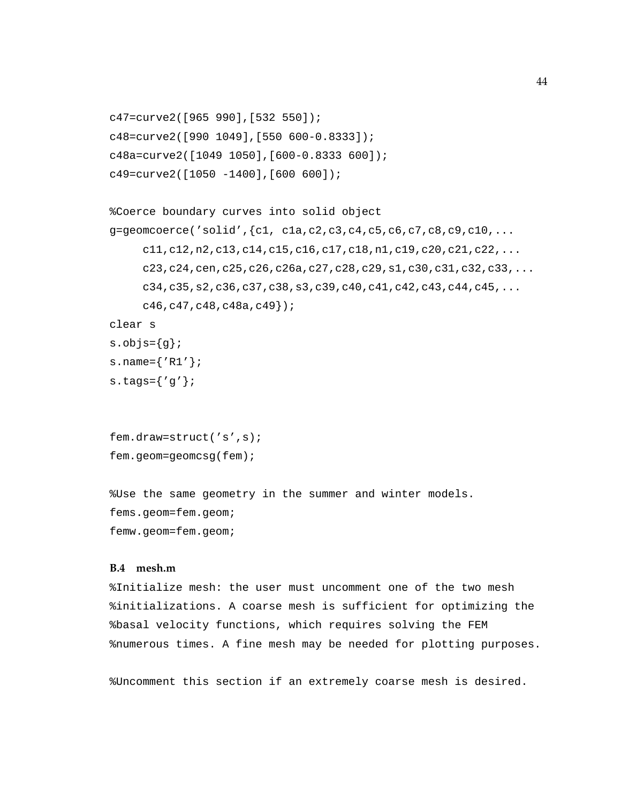```
c47=curve2([965 990],[532 550]);
c48=curve2([990 1049],[550 600-0.8333]);
c48a=curve2([1049 1050],[600-0.8333 600]);
c49=curve2([1050 -1400],[600 600]);
```

```
%Coerce boundary curves into solid object
g =geomcoerce('solid',{c1, c2, c3, c4, c5, c6, c7, c8, c9, c10, ...}c11,c12,n2,c13,c14,c15,c16,c17,c18,n1,c19,c20,c21,c22,...
     c23,c24,cen,c25,c26,c26a,c27,c28,c29,s1,c30,c31,c32,c33,...
     c34,c35,s2,c36,c37,c38,s3,c39,c40,c41,c42,c43,c44,c45,...
     c46,c47,c48,c48a,c49});
```

```
clear s
```

```
s.objs={g};
```

```
s.name={'R1'};
```

```
s.tags=\{ 'g' \};
```

```
fem.draw=struct('s',s);
fem.geom=geomcsg(fem);
```
%Use the same geometry in the summer and winter models. fems.geom=fem.geom; femw.geom=fem.geom;

### **B.4 mesh.m**

%Initialize mesh: the user must uncomment one of the two mesh %initializations. A coarse mesh is sufficient for optimizing the %basal velocity functions, which requires solving the FEM %numerous times. A fine mesh may be needed for plotting purposes.

%Uncomment this section if an extremely coarse mesh is desired.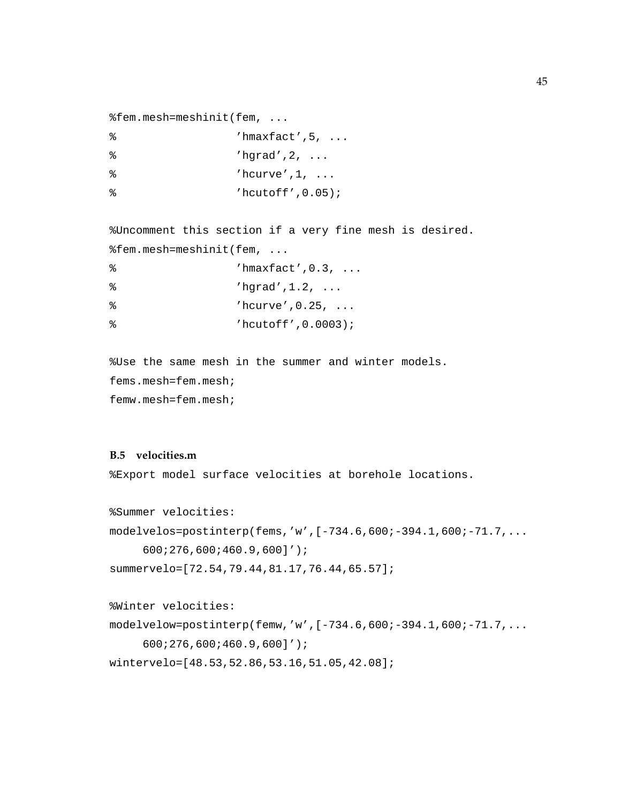```
%fem.mesh=meshinit(fem, ...
```

| ႜ  | $'$ hmaxfact', 5, $\ldots$ |
|----|----------------------------|
| န္ | 'hqrad', $2, \ldots$       |
| န္ | $'$ hcurve', 1,            |
| န္ | $'$ hcutoff', $0.05$ );    |

%Uncomment this section if a very fine mesh is desired. %fem.mesh=meshinit(fem, ...

```
% 'hmaxfact',0.3, ...
% 'hgrad',1.2, ...
% 'hcurve',0.25, ...
% 'hcutoff',0.0003);
```
%Use the same mesh in the summer and winter models. fems.mesh=fem.mesh; femw.mesh=fem.mesh;

### **B.5 velocities.m**

%Export model surface velocities at borehole locations.

```
%Summer velocities:
modelvelos=postinterp(fems,'w',[-734.6,600;-394.1,600;-71.7,...
     600;276,600;460.9,600]');
summervelo=[72.54,79.44,81.17,76.44,65.57];
```

```
%Winter velocities:
modelvelow=postinterp(femw,'w',[-734.6,600;-394.1,600;-71.7,...
     600;276,600;460.9,600]');
wintervelo=[48.53,52.86,53.16,51.05,42.08];
```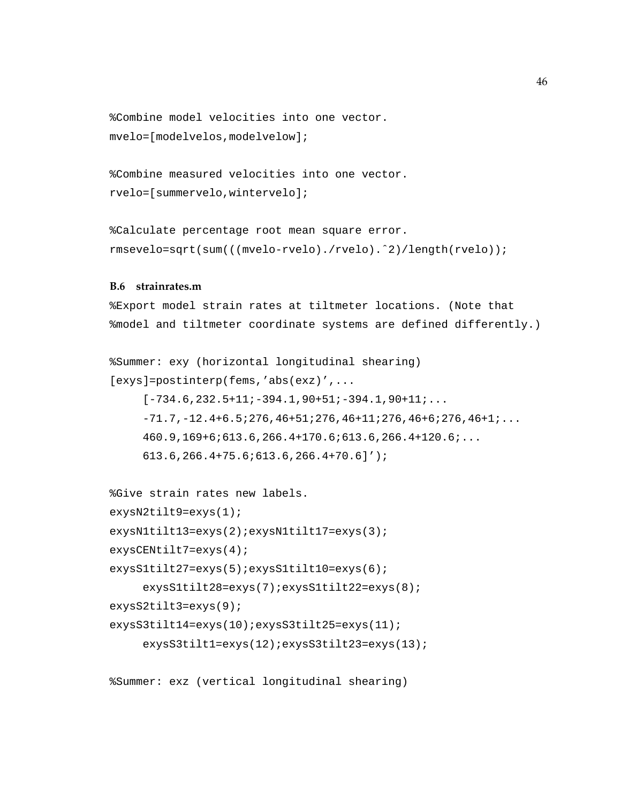```
%Combine model velocities into one vector.
mvelo=[modelvelos,modelvelow];
```

```
%Combine measured velocities into one vector.
rvelo=[summervelo,wintervelo];
```
%Calculate percentage root mean square error. rmsevelo=sqrt(sum(((mvelo-rvelo)./rvelo).ˆ2)/length(rvelo));

#### **B.6 strainrates.m**

%Export model strain rates at tiltmeter locations. (Note that %model and tiltmeter coordinate systems are defined differently.)

```
%Summer: exy (horizontal longitudinal shearing)
[exys]=postinterp(fems,'abs(exz)',...
     [-734.6, 232.5+11; -394.1, 90+51; -394.1, 90+11; \ldots]-71.7,-12.4+6.5;276,46+51;276,46+11;276,46+6;276,46+1;...
     460.9,169+6;613.6,266.4+170.6;613.6,266.4+120.6;...
     613.6,266.4+75.6;613.6,266.4+70.6]');
```

```
%Give strain rates new labels.
exysN2tilt9=exys(1);
exysN1tilt13=exys(2);exysN1tilt17=exys(3);
exysCENtilt7=exys(4);
exysS1tilt27=exys(5);exysS1tilt10=exys(6);
     exysS1tilt28=exys(7);exysS1tilt22=exys(8);
exysS2tilt3=exys(9);
exysS3tilt14=exys(10);exysS3tilt25=exys(11);
     exysS3tilt1=exys(12);exysS3tilt23=exys(13);
```

```
%Summer: exz (vertical longitudinal shearing)
```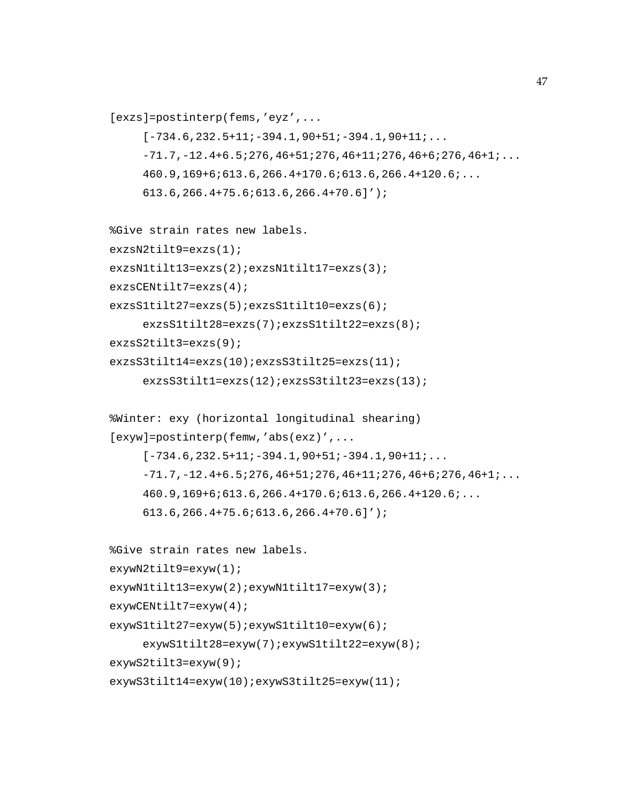```
[exzs]=postinterp(fems,'eyz',...
     [-734.6, 232.5+11; -394.1, 90+51; -394.1, 90+11; \ldots]-71.7,-12.4+6.5:276,46+51:276,46+11:276,46+6:276,46+1:...460.9,169+6;613.6,266.4+170.6;613.6,266.4+120.6;...
     613.6,266.4+75.6;613.6,266.4+70.6]');
%Give strain rates new labels.
exzsN2tilt9=exzs(1);
exzsN1tilt13=exzs(2);exzsN1tilt17=exzs(3);
exzsCENtilt7=exzs(4);
exzsS1tilt27=exzs(5);exzsS1tilt10=exzs(6);
     exzsS1tilt28=exzs(7);exzsS1tilt22=exzs(8);
exzsS2tilt3=exzs(9);
exzsS3tilt14=exzs(10);exzsS3tilt25=exzs(11);
     exzsS3tilt1=exzs(12);exzsS3tilt23=exzs(13);
%Winter: exy (horizontal longitudinal shearing)
[exyw]=postinterp(femw,'abs(exz)',...
     [-734.6, 232.5+11; -394.1, 90+51; -394.1, 90+11; \ldots]-71.7,-12.4+6.5;276,46+51;276,46+11;276,46+6;276,46+1;...
     460.9,169+6;613.6,266.4+170.6;613.6,266.4+120.6;...
     613.6,266.4+75.6;613.6,266.4+70.6]');
%Give strain rates new labels.
exywN2tilt9=exyw(1);
exywN1tilt13=exyw(2);exywN1tilt17=exyw(3);
exywCENtilt7=exyw(4);
exywS1tilt27=exyw(5);exywS1tilt10=exyw(6);
```
exywS1tilt28=exyw(7);exywS1tilt22=exyw(8);

exywS2tilt3=exyw(9);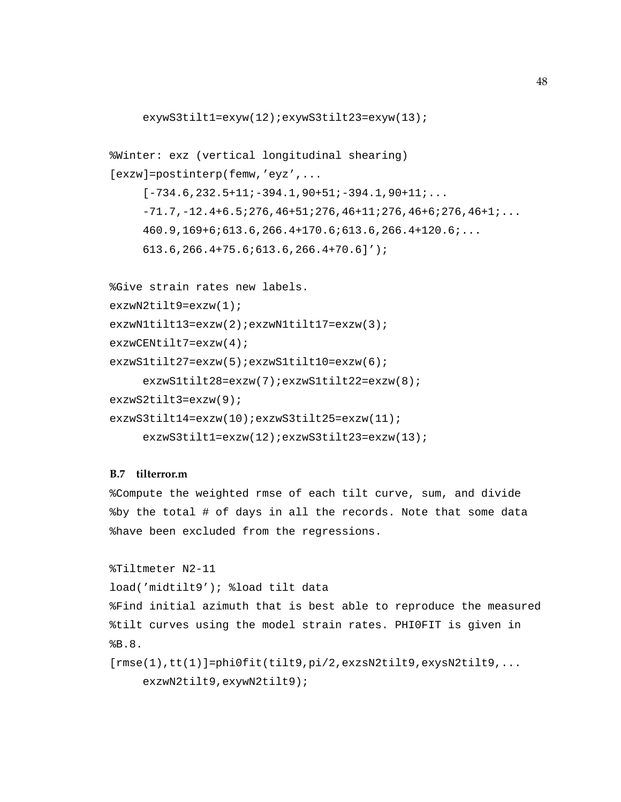```
exywS3tilt1=exyw(12);exywS3tilt23=exyw(13);
%Winter: exz (vertical longitudinal shearing)
[exzw]=postinterp(femw,'eyz',...
     [-734.6, 232.5+11; -394.1, 90+51; -394.1, 90+11; \ldots]-71.7,-12.4+6.5;276,46+51;276,46+11;276,46+6;276,46+1;...
     460.9,169+6;613.6,266.4+170.6;613.6,266.4+120.6;...
     613.6,266.4+75.6;613.6,266.4+70.6]');
```

```
%Give strain rates new labels.
exzwN2tilt9=exzw(1);
exzwN1tilt13=exzw(2);exzwN1tilt17=exzw(3);
exzwCENtilt7=exzw(4);
exzwS1tilt27=exzw(5);exzwS1tilt10=exzw(6);
     exzwS1tilt28=exzw(7);exzwS1tilt22=exzw(8);
exzwS2tilt3=exzw(9);
exzwS3tilt14=exzw(10);exzwS3tilt25=exzw(11);
     exzwS3tilt1=exzw(12);exzwS3tilt23=exzw(13);
```
### **B.7 tilterror.m**

%Compute the weighted rmse of each tilt curve, sum, and divide %by the total # of days in all the records. Note that some data %have been excluded from the regressions.

```
%Tiltmeter N2-11
```

```
load('midtilt9'); %load tilt data
```
%Find initial azimuth that is best able to reproduce the measured %tilt curves using the model strain rates. PHI0FIT is given in %B.8.

```
[rmse(1),tt(1)]=phi0fit(tilt9,pi/2,exzsN2tilt9,exysN2tilt9,...
    exzwN2tilt9,exywN2tilt9);
```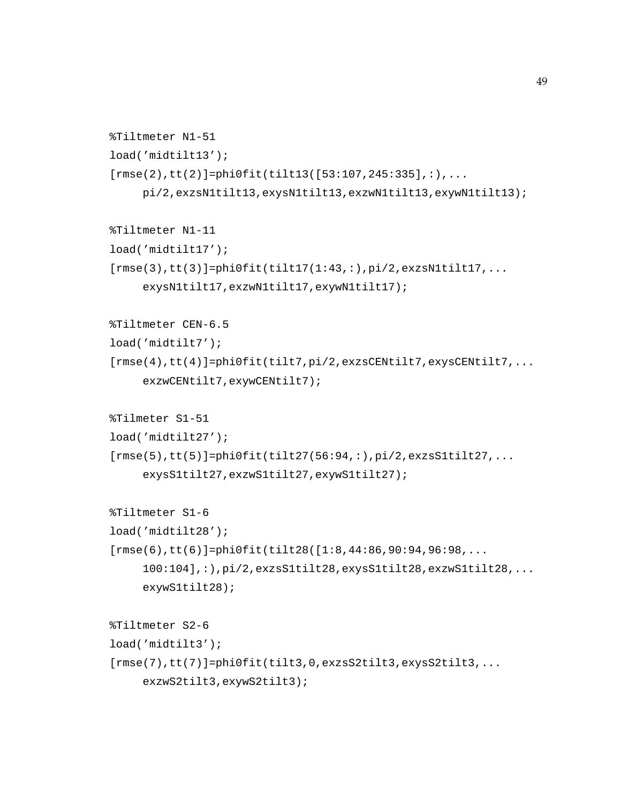```
%Tiltmeter N1-51
load('midtilt13');
[rmse(2),tt(2)] = phi0fit(tilt13([53:107,245:335],:),...pi/2,exzsN1tilt13,exysN1tilt13,exzwN1tilt13,exywN1tilt13);
%Tiltmeter N1-11
load('midtilt17');
[rmse(3),tt(3)]=phi0fit(tilt17(1:43,:),pi/2,exzsN1tilt117,...exysN1tilt17,exzwN1tilt17,exywN1tilt17);
%Tiltmeter CEN-6.5
load('midtilt7');
[rmse(4),tt(4)]=phi0fit(tilt7,pi/2,exzsCENtilt7,exysCENtilt7,...
     exzwCENtilt7,exywCENtilt7);
%Tilmeter S1-51
load('midtilt27');
[rmse(5),tt(5)]=phi0fit(tilt27(56:94,:),pi/2,exzss1tilt27,...exysS1tilt27,exzwS1tilt27,exywS1tilt27);
%Tiltmeter S1-6
load('midtilt28');
[rmse(6),tt(6)]=phi0fit(tilt28([1:8,44:86,90:94,96:98,...100:104],:),pi/2,exzsS1tilt28,exysS1tilt28,exzwS1tilt28,...
     exywS1tilt28);
%Tiltmeter S2-6
load('midtilt3');
[rmse(7),tt(7)]=phi0fit(tilt3,0,exzsS2tilt3,exysS2tilt3,...
     exzwS2tilt3,exywS2tilt3);
```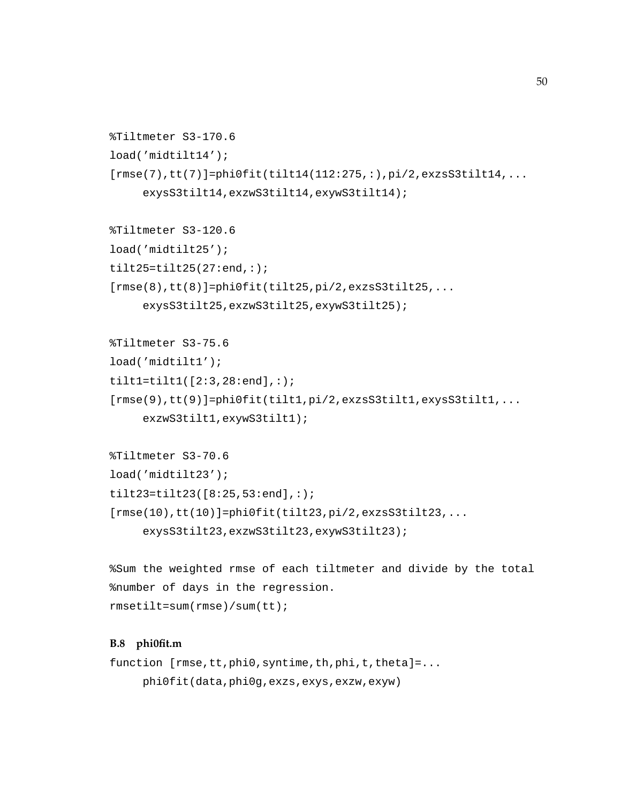```
%Tiltmeter S3-170.6
load('midtilt14');
[rmse(7),tt(7)]=phi0fit(tilt14(112:275,:),pi/2,exzss3tilt11,...exysS3tilt14,exzwS3tilt14,exywS3tilt14);
```

```
%Tiltmeter S3-120.6
load('midtilt25');
tilt25=tilt25(27:end,:);[rmse(8),tt(8)]=phi0fit(tilt25,pi/2,exzss3tilt25,...exysS3tilt25,exzwS3tilt25,exywS3tilt25);
```

```
%Tiltmeter S3-75.6
load('midtilt1');
tilt1=tilt1([2:3,28:end],:);
[rmse(9),tt(9)]=phi0fit(tilt1,pi/2,exzsS3tilt1,exysS3tilt1,...
     exzwS3tilt1,exywS3tilt1);
```

```
%Tiltmeter S3-70.6
load('midtilt23');
tilt23=tilt23([8:25,53:end],:);
[rmse(10),tt(10)]=phi0fit(tilt23,pi/2,exzsS3tilt23,...
     exysS3tilt23,exzwS3tilt23,exywS3tilt23);
```

```
%Sum the weighted rmse of each tiltmeter and divide by the total
%number of days in the regression.
rmsetilt=sum(rmse)/sum(tt);
```
### **B.8 phi0fit.m**

```
function [rmse,tt,phi0,syntime,th,phi,t,theta]=...
    phi0fit(data,phi0g,exzs,exys,exzw,exyw)
```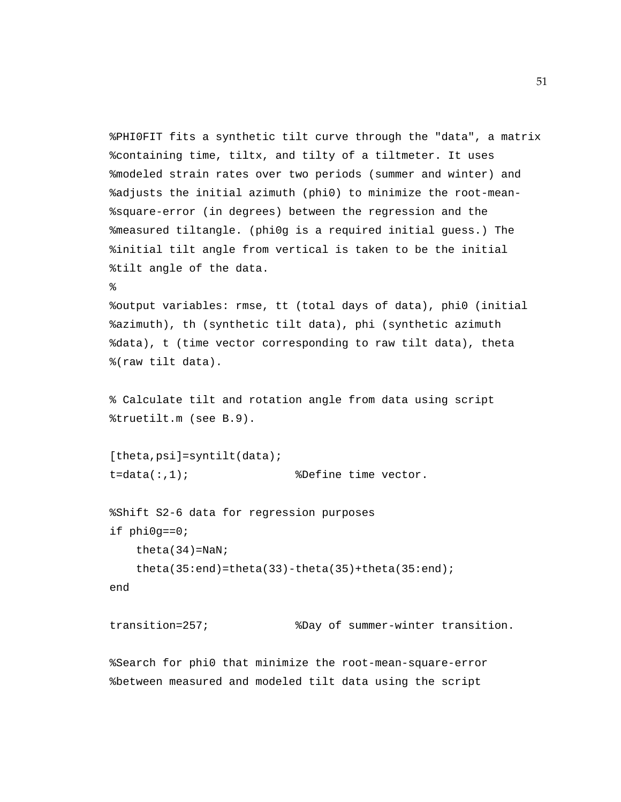```
%PHI0FIT fits a synthetic tilt curve through the "data", a matrix
%containing time, tiltx, and tilty of a tiltmeter. It uses
%modeled strain rates over two periods (summer and winter) and
%adjusts the initial azimuth (phi0) to minimize the root-mean-
%square-error (in degrees) between the regression and the
%measured tiltangle. (phi0g is a required initial guess.) The
%initial tilt angle from vertical is taken to be the initial
%tilt angle of the data.
%
%output variables: rmse, tt (total days of data), phi0 (initial
%azimuth), th (synthetic tilt data), phi (synthetic azimuth
%data), t (time vector corresponding to raw tilt data), theta
%(raw tilt data).
% Calculate tilt and rotation angle from data using script
%truetilt.m (see B.9).
[theta,psi]=syntilt(data);
t = data(:,1); <br> sDefine time vector.
%Shift S2-6 data for regression purposes
if phi0g==0;
   theta(34)=NaN;
   theta(35:end)=theta(33)-theta(35)+theta(35:end);
end
transition=257; %Day of summer-winter transition.
```
%Search for phi0 that minimize the root-mean-square-error %between measured and modeled tilt data using the script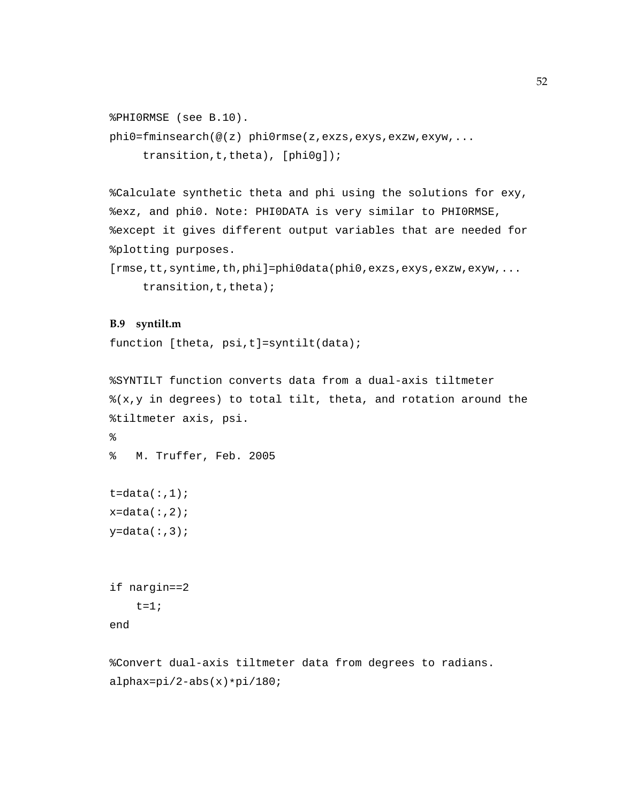```
%PHI0RMSE (see B.10).
phi0=fminsearch(@(z) phi0rmse(z,exzs,exys,exzw,exyw,...
     transition,t,theta), [phi0g]);
```
%Calculate synthetic theta and phi using the solutions for exy, %exz, and phi0. Note: PHI0DATA is very similar to PHI0RMSE, %except it gives different output variables that are needed for %plotting purposes.

```
[rmse,tt,syntime,th,phi]=phi0data(phi0,exzs,exys,exzw,exyw,...
     transition, t, theta);
```
#### **B.9 syntilt.m**

```
function [theta, psi,t]=syntilt(data);
```

```
%SYNTILT function converts data from a dual-axis tiltmeter
(x,y) in degrees) to total tilt, theta, and rotation around the
%tiltmeter axis, psi.
\approx% M. Truffer, Feb. 2005
t = data(:,1);x = data(:,2);y = data(:,3);if nargin==2
    t=1;
```

```
end
```
%Convert dual-axis tiltmeter data from degrees to radians. alphax=pi/2-abs(x)\*pi/180;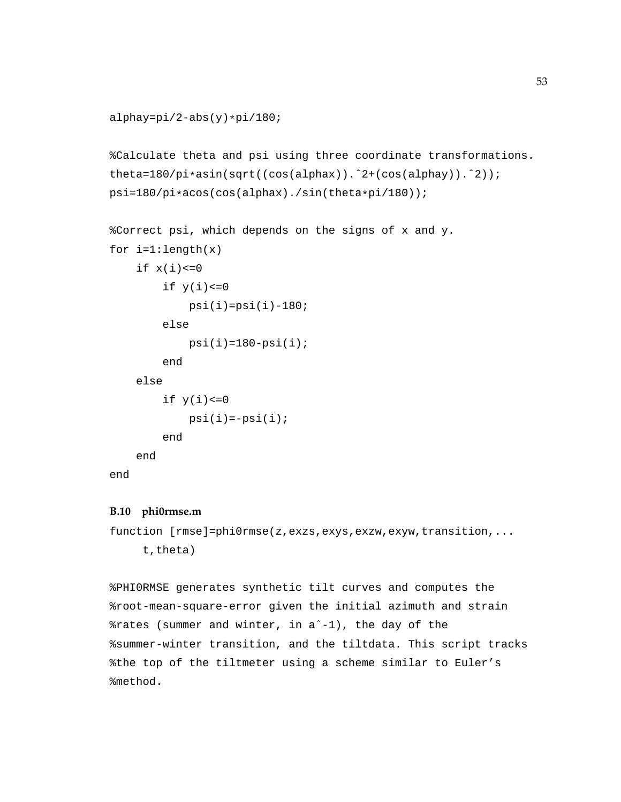```
alphay=pi/2-abs(y)*pi/180;
```

```
%Calculate theta and psi using three coordinate transformations.
theta=180/pi*asin(sqrt((cos(alphax)).ˆ2+(cos(alphay)).ˆ2));
psi=180/pi*acos(cos(alphax)./sin(theta*pi/180));
```

```
%Correct psi, which depends on the signs of x and y.
for i=1:length(x)if x(i) < = 0if y(i) < = 0psi(i)=psi(i)-180;else
            psi(i)=180-psi(i);end
    else
        if y(i) < = 0psi(i) = -psi(i);
        end
    end
```
# end

### **B.10 phi0rmse.m**

function [rmse]=phi0rmse(z,exzs,exys,exzw,exyw,transition,... t,theta)

%PHI0RMSE generates synthetic tilt curves and computes the %root-mean-square-error given the initial azimuth and strain %rates (summer and winter, in aˆ-1), the day of the %summer-winter transition, and the tiltdata. This script tracks %the top of the tiltmeter using a scheme similar to Euler's %method.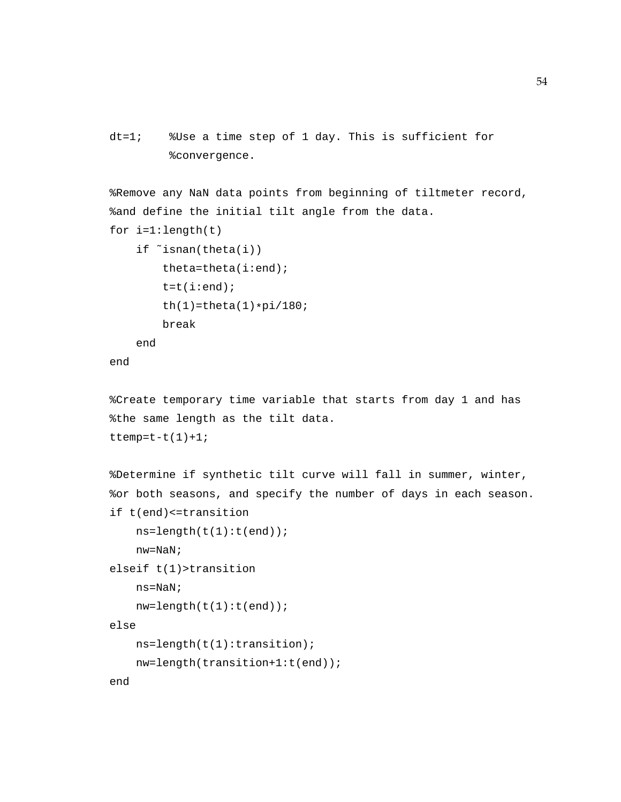```
dt=1; %Use a time step of 1 day. This is sufficient for
        %convergence.
```
%Remove any NaN data points from beginning of tiltmeter record, %and define the initial tilt angle from the data. for  $i=1:l$ ength $(t)$ 

```
if ˜isnan(theta(i))
    theta=theta(i:end);
   t=t(i:end);th(1)=theta(1)*pi/180;break
```
end

end

```
%Create temporary time variable that starts from day 1 and has
%the same length as the tilt data.
ttemp=t-t(1)+1;
```

```
%Determine if synthetic tilt curve will fall in summer, winter,
%or both seasons, and specify the number of days in each season.
if t(end)<=transition
    ns = length(t(1):t(end));
    nw=NaN;
elseif t(1)>transition
   ns=NaN;
    nw = length(t(1):t(end));
else
    ns=length(t(1):transition);
   nw=length(transition+1:t(end));
end
```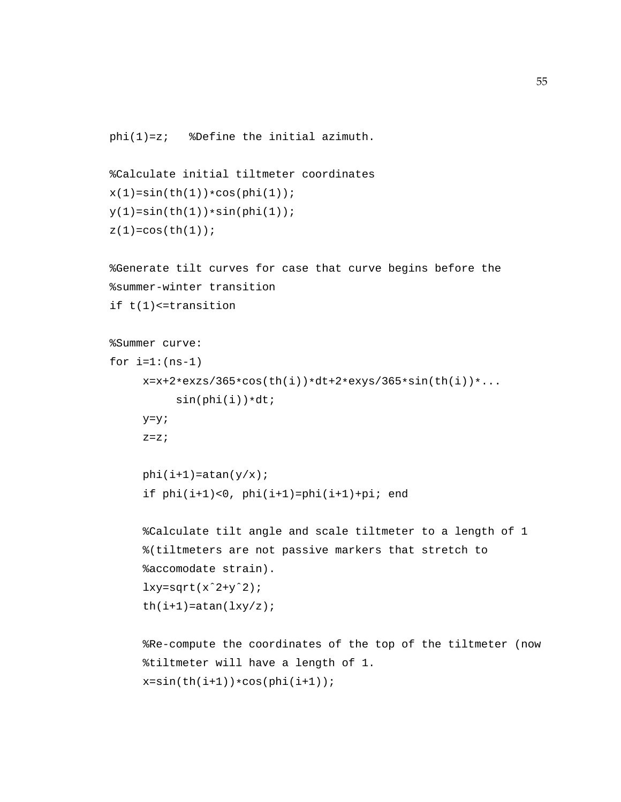```
phi(1)=z; %Define the initial azimuth.
```

```
%Calculate initial tiltmeter coordinates
x(1)=sin(th(1)) * cos(phi(1));y(1)=sin(th(1))*sin(phi(1));z(1)=\cos(\th(1));
```

```
%Generate tilt curves for case that curve begins before the
%summer-winter transition
if t(1)<=transition
```

```
%Summer curve:
for i=1:(ns-1)x=x+2*exzs/365*cos(th(i))*dt+2*exys/365*sin(th(i))*...sin(phi(i)) * dt;y=y;z=z;phi(i+1)=atan(y/x);
```

```
if phi(i+1)<0, phi(i+1)=phi(i+1)+pi; end
```

```
%Calculate tilt angle and scale tiltmeter to a length of 1
%(tiltmeters are not passive markers that stretch to
%accomodate strain).
lxy=sqrt(x^2+y^2);th(i+1)=atan(lxy/z);
```

```
%Re-compute the coordinates of the top of the tiltmeter (now
%tiltmeter will have a length of 1.
x=sin(th(i+1))*cos(phi(i+1));
```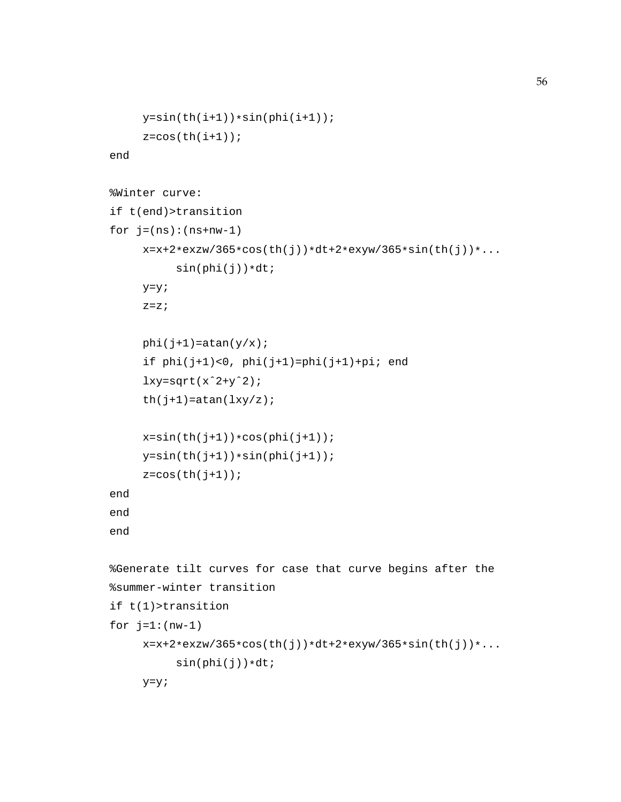```
y=sin(th(i+1))*sin(phi(i+1));z = cos(th(i+1));end
%Winter curve:
if t(end)>transition
for j=(ns):(ns+nw-1)x=x+2*exzw/365*cos(th(j))*dt+2*exyw/365*sin(th(j))*...sin(phi(j)) * dt;y=y;
     z=z;phi(j+1)=atan(y/x);
     if phi(j+1)<0, phi(j+1)=phi(j+1)+pi; end
     lxy=sqrt(x^2+y^2);th(j+1)=atan(lxy/z);x=sin(th(j+1))*cos(phi(j+1));y=sin(th(j+1))*sin(phi(j+1));z = cos(th(j+1));end
end
end
%Generate tilt curves for case that curve begins after the
%summer-winter transition
if t(1)>transition
for j=1:(nw-1)x=x+2*exzw/365*cos(th(j))*dt+2*exyw/365*sin(th(j))*...sin(\phi hi(j)) * dt;y=y;
```